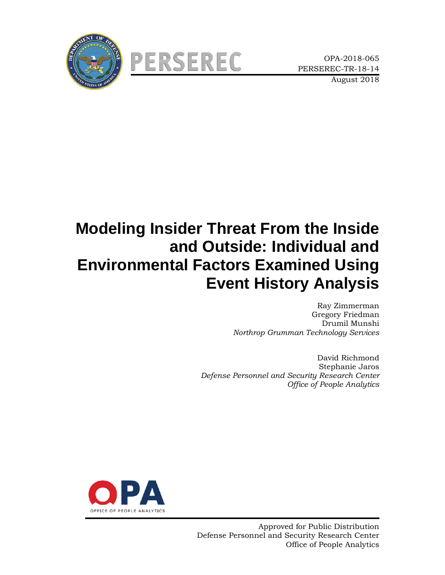



# **Modeling Insider Threat From the Inside and Outside: Individual and Environmental Factors Examined Using Event History Analysis**

Ray Zimmerman Gregory Friedman Drumil Munshi *Northrop Grumman Technology Services*

David Richmond Stephanie Jaros *Defense Personnel and Security Research Center Office of People Analytics*

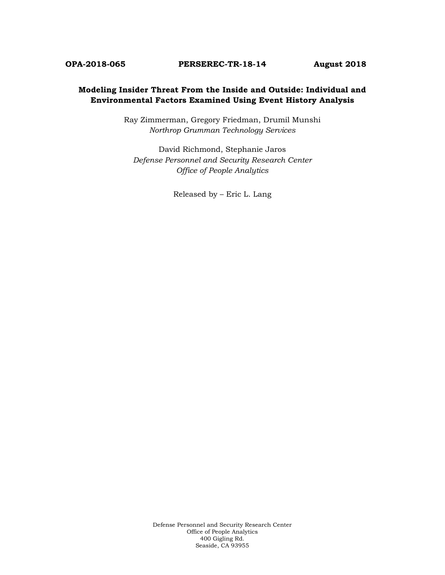#### **Modeling Insider Threat From the Inside and Outside: Individual and Environmental Factors Examined Using Event History Analysis**

Ray Zimmerman, Gregory Friedman, Drumil Munshi *Northrop Grumman Technology Services*

David Richmond, Stephanie Jaros *Defense Personnel and Security Research Center Office of People Analytics*

Released by – Eric L. Lang

Defense Personnel and Security Research Center Office of People Analytics 400 Gigling Rd. Seaside, CA 93955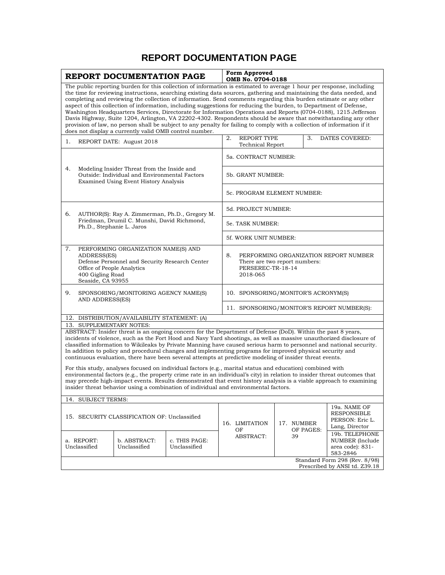### **REPORT DOCUMENTATION PAGE**

| REPORT DOCUMENTATION PAGE                                                                                                                                                                                                                                                                                |                                                                                                                                                                                                                                                                                                                                                                                                                                                                                                                                                                                                                                                                                                                              |                                                                                                                                       |                                                                                                                                                                                                                                                                                                                                         |                                                                                                         | Form Approved<br>OMB No. 0704-0188                                                                                                                                                                                                                                                                                                                                                                                                                                                                                                                                                                        |           |                                                                  |                                                                   |  |
|----------------------------------------------------------------------------------------------------------------------------------------------------------------------------------------------------------------------------------------------------------------------------------------------------------|------------------------------------------------------------------------------------------------------------------------------------------------------------------------------------------------------------------------------------------------------------------------------------------------------------------------------------------------------------------------------------------------------------------------------------------------------------------------------------------------------------------------------------------------------------------------------------------------------------------------------------------------------------------------------------------------------------------------------|---------------------------------------------------------------------------------------------------------------------------------------|-----------------------------------------------------------------------------------------------------------------------------------------------------------------------------------------------------------------------------------------------------------------------------------------------------------------------------------------|---------------------------------------------------------------------------------------------------------|-----------------------------------------------------------------------------------------------------------------------------------------------------------------------------------------------------------------------------------------------------------------------------------------------------------------------------------------------------------------------------------------------------------------------------------------------------------------------------------------------------------------------------------------------------------------------------------------------------------|-----------|------------------------------------------------------------------|-------------------------------------------------------------------|--|
| aspect of this collection of information, including suggestions for reducing the burden, to Department of Defense,<br>provision of law, no person shall be subject to any penalty for failing to comply with a collection of information if it<br>does not display a currently valid OMB control number. |                                                                                                                                                                                                                                                                                                                                                                                                                                                                                                                                                                                                                                                                                                                              |                                                                                                                                       |                                                                                                                                                                                                                                                                                                                                         |                                                                                                         | The public reporting burden for this collection of information is estimated to average 1 hour per response, including<br>the time for reviewing instructions, searching existing data sources, gathering and maintaining the data needed, and<br>completing and reviewing the collection of information. Send comments regarding this burden estimate or any other<br>Washington Headquarters Services, Directorate for Information Operations and Reports (0704-0188), 1215 Jefferson<br>Davis Highway, Suite 1204, Arlington, VA 22202-4302. Respondents should be aware that notwithstanding any other |           |                                                                  |                                                                   |  |
| 1.                                                                                                                                                                                                                                                                                                       |                                                                                                                                                                                                                                                                                                                                                                                                                                                                                                                                                                                                                                                                                                                              | REPORT DATE: August 2018                                                                                                              |                                                                                                                                                                                                                                                                                                                                         | 2.                                                                                                      | <b>REPORT TYPE</b><br>Technical Report                                                                                                                                                                                                                                                                                                                                                                                                                                                                                                                                                                    |           | 3.                                                               | DATES COVERED:                                                    |  |
|                                                                                                                                                                                                                                                                                                          |                                                                                                                                                                                                                                                                                                                                                                                                                                                                                                                                                                                                                                                                                                                              |                                                                                                                                       |                                                                                                                                                                                                                                                                                                                                         |                                                                                                         | 5a. CONTRACT NUMBER:                                                                                                                                                                                                                                                                                                                                                                                                                                                                                                                                                                                      |           |                                                                  |                                                                   |  |
| 4.                                                                                                                                                                                                                                                                                                       |                                                                                                                                                                                                                                                                                                                                                                                                                                                                                                                                                                                                                                                                                                                              | Modeling Insider Threat from the Inside and<br>Outside: Individual and Environmental Factors<br>Examined Using Event History Analysis |                                                                                                                                                                                                                                                                                                                                         |                                                                                                         | 5b. GRANT NUMBER:                                                                                                                                                                                                                                                                                                                                                                                                                                                                                                                                                                                         |           |                                                                  |                                                                   |  |
|                                                                                                                                                                                                                                                                                                          |                                                                                                                                                                                                                                                                                                                                                                                                                                                                                                                                                                                                                                                                                                                              |                                                                                                                                       |                                                                                                                                                                                                                                                                                                                                         |                                                                                                         | 5c. PROGRAM ELEMENT NUMBER:                                                                                                                                                                                                                                                                                                                                                                                                                                                                                                                                                                               |           |                                                                  |                                                                   |  |
| 6.                                                                                                                                                                                                                                                                                                       |                                                                                                                                                                                                                                                                                                                                                                                                                                                                                                                                                                                                                                                                                                                              |                                                                                                                                       | AUTHOR(S): Ray A. Zimmerman, Ph.D., Gregory M.                                                                                                                                                                                                                                                                                          |                                                                                                         | 5d. PROJECT NUMBER:                                                                                                                                                                                                                                                                                                                                                                                                                                                                                                                                                                                       |           |                                                                  |                                                                   |  |
|                                                                                                                                                                                                                                                                                                          |                                                                                                                                                                                                                                                                                                                                                                                                                                                                                                                                                                                                                                                                                                                              | Friedman, Drumil C. Munshi, David Richmond,<br>Ph.D., Stephanie L. Jaros                                                              |                                                                                                                                                                                                                                                                                                                                         |                                                                                                         | 5e. TASK NUMBER:                                                                                                                                                                                                                                                                                                                                                                                                                                                                                                                                                                                          |           |                                                                  |                                                                   |  |
|                                                                                                                                                                                                                                                                                                          |                                                                                                                                                                                                                                                                                                                                                                                                                                                                                                                                                                                                                                                                                                                              |                                                                                                                                       |                                                                                                                                                                                                                                                                                                                                         |                                                                                                         | 5f. WORK UNIT NUMBER:                                                                                                                                                                                                                                                                                                                                                                                                                                                                                                                                                                                     |           |                                                                  |                                                                   |  |
| 7.<br>PERFORMING ORGANIZATION NAME(S) AND<br>ADDRESS(ES)<br>Defense Personnel and Security Research Center<br>Office of People Analytics<br>400 Gigling Road<br>Seaside, CA 93955                                                                                                                        |                                                                                                                                                                                                                                                                                                                                                                                                                                                                                                                                                                                                                                                                                                                              |                                                                                                                                       | 8.                                                                                                                                                                                                                                                                                                                                      | PERFORMING ORGANIZATION REPORT NUMBER<br>There are two report numbers:<br>PERSEREC-TR-18-14<br>2018-065 |                                                                                                                                                                                                                                                                                                                                                                                                                                                                                                                                                                                                           |           |                                                                  |                                                                   |  |
| 9.                                                                                                                                                                                                                                                                                                       | AND ADDRESS(ES)                                                                                                                                                                                                                                                                                                                                                                                                                                                                                                                                                                                                                                                                                                              | SPONSORING/MONITORING AGENCY NAME(S)                                                                                                  |                                                                                                                                                                                                                                                                                                                                         |                                                                                                         | 10. SPONSORING/MONITOR'S ACRONYM(S)                                                                                                                                                                                                                                                                                                                                                                                                                                                                                                                                                                       |           |                                                                  |                                                                   |  |
|                                                                                                                                                                                                                                                                                                          |                                                                                                                                                                                                                                                                                                                                                                                                                                                                                                                                                                                                                                                                                                                              |                                                                                                                                       |                                                                                                                                                                                                                                                                                                                                         | 11. SPONSORING/MONITOR'S REPORT NUMBER(S):                                                              |                                                                                                                                                                                                                                                                                                                                                                                                                                                                                                                                                                                                           |           |                                                                  |                                                                   |  |
|                                                                                                                                                                                                                                                                                                          |                                                                                                                                                                                                                                                                                                                                                                                                                                                                                                                                                                                                                                                                                                                              | 12. DISTRIBUTION/AVAILABILITY STATEMENT: (A)                                                                                          |                                                                                                                                                                                                                                                                                                                                         |                                                                                                         |                                                                                                                                                                                                                                                                                                                                                                                                                                                                                                                                                                                                           |           |                                                                  |                                                                   |  |
|                                                                                                                                                                                                                                                                                                          | 13. SUPPLEMENTARY NOTES:<br>ABSTRACT: Insider threat is an ongoing concern for the Department of Defense (DoD). Within the past 8 years,<br>incidents of violence, such as the Fort Hood and Navy Yard shootings, as well as massive unauthorized disclosure of<br>classified information to Wikileaks by Private Manning have caused serious harm to personnel and national security.<br>In addition to policy and procedural changes and implementing programs for improved physical security and<br>continuous evaluation, there have been several attempts at predictive modeling of insider threat events.<br>For this study, analyses focused on individual factors (e.g., marital status and education) combined with |                                                                                                                                       |                                                                                                                                                                                                                                                                                                                                         |                                                                                                         |                                                                                                                                                                                                                                                                                                                                                                                                                                                                                                                                                                                                           |           |                                                                  |                                                                   |  |
|                                                                                                                                                                                                                                                                                                          |                                                                                                                                                                                                                                                                                                                                                                                                                                                                                                                                                                                                                                                                                                                              |                                                                                                                                       | environmental factors (e.g., the property crime rate in an individual's city) in relation to insider threat outcomes that<br>may precede high-impact events. Results demonstrated that event history analysis is a viable approach to examining<br>insider threat behavior using a combination of individual and environmental factors. |                                                                                                         |                                                                                                                                                                                                                                                                                                                                                                                                                                                                                                                                                                                                           |           |                                                                  |                                                                   |  |
| 14.                                                                                                                                                                                                                                                                                                      | <b>SUBJECT TERMS:</b>                                                                                                                                                                                                                                                                                                                                                                                                                                                                                                                                                                                                                                                                                                        |                                                                                                                                       |                                                                                                                                                                                                                                                                                                                                         |                                                                                                         |                                                                                                                                                                                                                                                                                                                                                                                                                                                                                                                                                                                                           |           |                                                                  |                                                                   |  |
|                                                                                                                                                                                                                                                                                                          | 15. SECURITY CLASSIFICATION OF: Unclassified                                                                                                                                                                                                                                                                                                                                                                                                                                                                                                                                                                                                                                                                                 |                                                                                                                                       |                                                                                                                                                                                                                                                                                                                                         | 16. LIMITATION<br>ΟF                                                                                    | 17. NUMBER                                                                                                                                                                                                                                                                                                                                                                                                                                                                                                                                                                                                | OF PAGES: | 19a. NAME OF<br>RESPONSIBLE<br>PERSON: Eric L.<br>Lang, Director |                                                                   |  |
| a. REPORT:<br>Unclassified                                                                                                                                                                                                                                                                               |                                                                                                                                                                                                                                                                                                                                                                                                                                                                                                                                                                                                                                                                                                                              | b. ABSTRACT:<br>Unclassified                                                                                                          | c. THIS PAGE:<br>Unclassified                                                                                                                                                                                                                                                                                                           |                                                                                                         | <b>ABSTRACT:</b>                                                                                                                                                                                                                                                                                                                                                                                                                                                                                                                                                                                          | 39        |                                                                  | 19b. TELEPHONE<br>NUMBER (Include<br>area code): 831-<br>583-2846 |  |
|                                                                                                                                                                                                                                                                                                          | Standard Form 298 (Rev. 8/98)<br>Prescribed by ANSI td. Z39.18                                                                                                                                                                                                                                                                                                                                                                                                                                                                                                                                                                                                                                                               |                                                                                                                                       |                                                                                                                                                                                                                                                                                                                                         |                                                                                                         |                                                                                                                                                                                                                                                                                                                                                                                                                                                                                                                                                                                                           |           |                                                                  |                                                                   |  |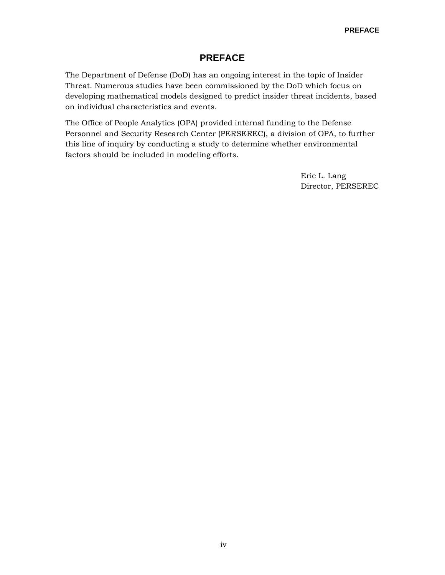#### **PREFACE**

The Department of Defense (DoD) has an ongoing interest in the topic of Insider Threat. Numerous studies have been commissioned by the DoD which focus on developing mathematical models designed to predict insider threat incidents, based on individual characteristics and events.

The Office of People Analytics (OPA) provided internal funding to the Defense Personnel and Security Research Center (PERSEREC), a division of OPA, to further this line of inquiry by conducting a study to determine whether environmental factors should be included in modeling efforts.

> Eric L. Lang Director, PERSEREC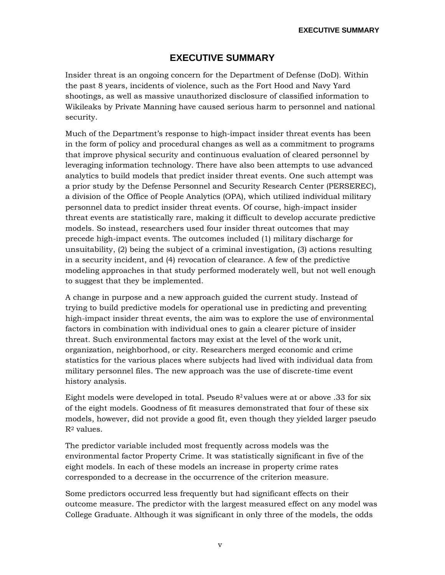### **EXECUTIVE SUMMARY**

Insider threat is an ongoing concern for the Department of Defense (DoD). Within the past 8 years, incidents of violence, such as the Fort Hood and Navy Yard shootings, as well as massive unauthorized disclosure of classified information to Wikileaks by Private Manning have caused serious harm to personnel and national security.

Much of the Department's response to high-impact insider threat events has been in the form of policy and procedural changes as well as a commitment to programs that improve physical security and continuous evaluation of cleared personnel by leveraging information technology. There have also been attempts to use advanced analytics to build models that predict insider threat events. One such attempt was a prior study by the Defense Personnel and Security Research Center (PERSEREC), a division of the Office of People Analytics (OPA), which utilized individual military personnel data to predict insider threat events. Of course, high-impact insider threat events are statistically rare, making it difficult to develop accurate predictive models. So instead, researchers used four insider threat outcomes that may precede high-impact events. The outcomes included (1) military discharge for unsuitability, (2) being the subject of a criminal investigation, (3) actions resulting in a security incident, and (4) revocation of clearance. A few of the predictive modeling approaches in that study performed moderately well, but not well enough to suggest that they be implemented.

A change in purpose and a new approach guided the current study. Instead of trying to build predictive models for operational use in predicting and preventing high-impact insider threat events, the aim was to explore the use of environmental factors in combination with individual ones to gain a clearer picture of insider threat. Such environmental factors may exist at the level of the work unit, organization, neighborhood, or city. Researchers merged economic and crime statistics for the various places where subjects had lived with individual data from military personnel files. The new approach was the use of discrete-time event history analysis.

Eight models were developed in total. Pseudo  $R^2$  values were at or above .33 for six of the eight models. Goodness of fit measures demonstrated that four of these six models, however, did not provide a good fit, even though they yielded larger pseudo  $R^2$  values.

The predictor variable included most frequently across models was the environmental factor Property Crime. It was statistically significant in five of the eight models. In each of these models an increase in property crime rates corresponded to a decrease in the occurrence of the criterion measure.

Some predictors occurred less frequently but had significant effects on their outcome measure. The predictor with the largest measured effect on any model was College Graduate. Although it was significant in only three of the models, the odds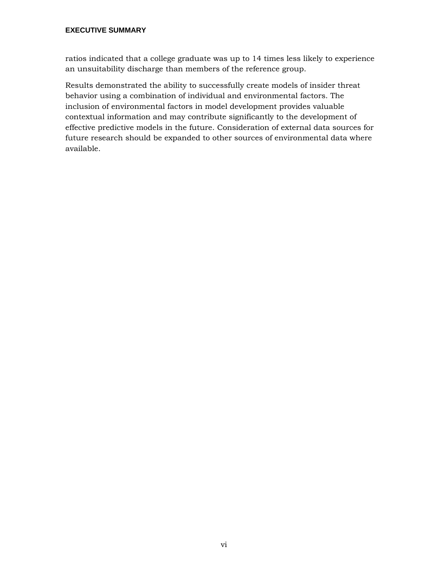#### **EXECUTIVE SUMMARY**

ratios indicated that a college graduate was up to 14 times less likely to experience an unsuitability discharge than members of the reference group.

Results demonstrated the ability to successfully create models of insider threat behavior using a combination of individual and environmental factors. The inclusion of environmental factors in model development provides valuable contextual information and may contribute significantly to the development of effective predictive models in the future. Consideration of external data sources for future research should be expanded to other sources of environmental data where available.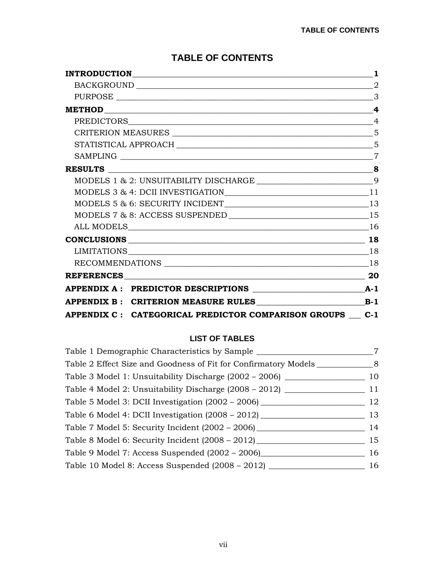|                                                          | $\mathbf{1}$   |
|----------------------------------------------------------|----------------|
|                                                          |                |
|                                                          | 3              |
|                                                          |                |
|                                                          | $\overline{4}$ |
|                                                          |                |
|                                                          |                |
|                                                          |                |
|                                                          |                |
|                                                          |                |
| MODELS 3 & 4: DCII INVESTIGATION 11                      |                |
| MODELS 5 & 6: SECURITY INCIDENT 13                       |                |
|                                                          |                |
|                                                          |                |
|                                                          | 18             |
|                                                          |                |
|                                                          |                |
| REFERENCES 20                                            |                |
|                                                          |                |
|                                                          |                |
| APPENDIX C : CATEGORICAL PREDICTOR COMPARISON GROUPS C-1 |                |

### **TABLE OF CONTENTS**

#### **LIST OF TABLES**

| Table 1 Demographic Characteristics by Sample                                    |                |
|----------------------------------------------------------------------------------|----------------|
| Table 2 Effect Size and Goodness of Fit for Confirmatory Models                  | 8 <sup>8</sup> |
|                                                                                  | 10             |
|                                                                                  | 11             |
| Table 5 Model 3: DCII Investigation (2002 – 2006) ______________________________ | 12             |
| Table 6 Model 4: DCII Investigation (2008 - 2012)                                | 13             |
|                                                                                  | 14             |
| Table 8 Model 6: Security Incident $(2008 - 2012)$                               | 15             |
| Table 9 Model 7: Access Suspended (2002 - 2006)                                  | 16             |
| Table 10 Model 8: Access Suspended (2008 – 2012) _                               | 16             |
|                                                                                  |                |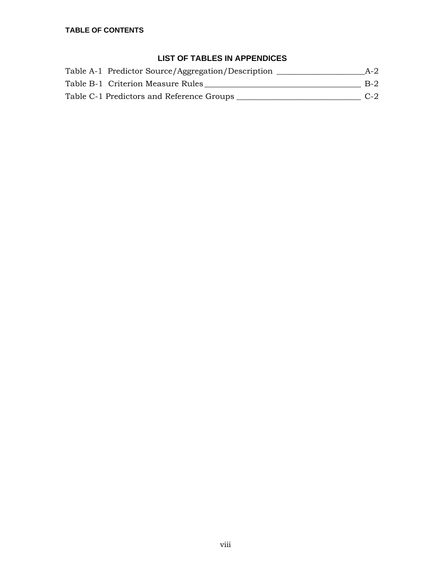### **LIST OF TABLES IN APPENDICES**

| Table A-1 Predictor Source/Aggregation/Description | $A-2$ |
|----------------------------------------------------|-------|
| Table B-1 Criterion Measure Rules                  | $B-2$ |
| Table C-1 Predictors and Reference Groups          | $C-2$ |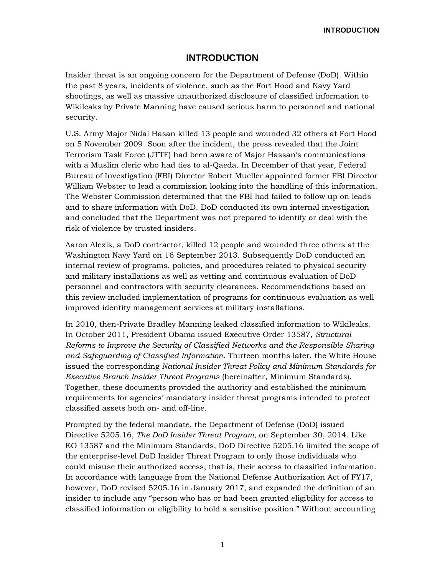**INTRODUCTION**

#### **INTRODUCTION**

<span id="page-8-0"></span>Insider threat is an ongoing concern for the Department of Defense (DoD). Within the past 8 years, incidents of violence, such as the Fort Hood and Navy Yard shootings, as well as massive unauthorized disclosure of classified information to Wikileaks by Private Manning have caused serious harm to personnel and national security.

U.S. Army Major Nidal Hasan killed 13 people and wounded 32 others at Fort Hood on 5 November 2009. Soon after the incident, the press revealed that the Joint Terrorism Task Force (JTTF) had been aware of Major Hassan's communications with a Muslim cleric who had ties to al-Qaeda. In December of that year, Federal Bureau of Investigation (FBI) Director Robert Mueller appointed former FBI Director William Webster to lead a commission looking into the handling of this information. The Webster Commission determined that the FBI had failed to follow up on leads and to share information with DoD. DoD conducted its own internal investigation and concluded that the Department was not prepared to identify or deal with the risk of violence by trusted insiders.

Aaron Alexis, a DoD contractor, killed 12 people and wounded three others at the Washington Navy Yard on 16 September 2013. Subsequently DoD conducted an internal review of programs, policies, and procedures related to physical security and military installations as well as vetting and continuous evaluation of DoD personnel and contractors with security clearances. Recommendations based on this review included implementation of programs for continuous evaluation as well improved identity management services at military installations.

In 2010, then-Private Bradley Manning leaked classified information to Wikileaks. In October 2011, President Obama issued Executive Order 13587, *Structural Reforms to Improve the Security of Classified Networks and the Responsible Sharing and Safeguarding of Classified Information*. Thirteen months later, the White House issued the corresponding *National Insider Threat Policy and Minimum Standards for Executive Branch Insider Threat Programs* (hereinafter, Minimum Standards). Together, these documents provided the authority and established the minimum requirements for agencies' mandatory insider threat programs intended to protect classified assets both on- and off-line.

Prompted by the federal mandate, the Department of Defense (DoD) issued Directive 5205.16, *The DoD Insider Threat Program*, on September 30, 2014. Like EO 13587 and the Minimum Standards, DoD Directive 5205.16 limited the scope of the enterprise-level DoD Insider Threat Program to only those individuals who could misuse their authorized access; that is, their access to classified information. In accordance with language from the National Defense Authorization Act of FY17, however, DoD revised 5205.16 in January 2017, and expanded the definition of an insider to include any "person who has or had been granted eligibility for access to classified information or eligibility to hold a sensitive position." Without accounting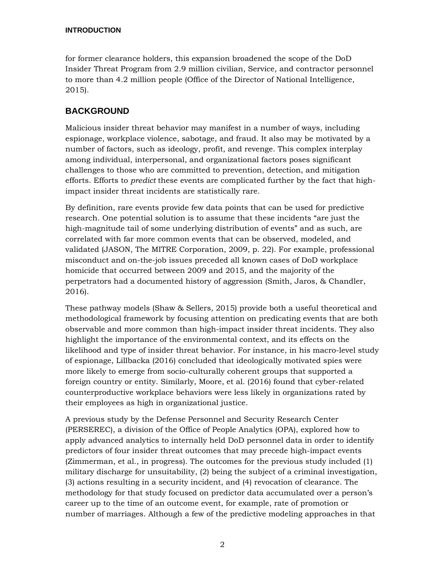#### **INTRODUCTION**

for former clearance holders, this expansion broadened the scope of the DoD Insider Threat Program from 2.9 million civilian, Service, and contractor personnel to more than 4.2 million people (Office of the Director of National Intelligence, 2015).

#### <span id="page-9-0"></span>**BACKGROUND**

Malicious insider threat behavior may manifest in a number of ways, including espionage, workplace violence, sabotage, and fraud. It also may be motivated by a number of factors, such as ideology, profit, and revenge. This complex interplay among individual, interpersonal, and organizational factors poses significant challenges to those who are committed to prevention, detection, and mitigation efforts. Efforts to *predict* these events are complicated further by the fact that highimpact insider threat incidents are statistically rare.

By definition, rare events provide few data points that can be used for predictive research. One potential solution is to assume that these incidents "are just the high-magnitude tail of some underlying distribution of events" and as such, are correlated with far more common events that can be observed, modeled, and validated (JASON, The MITRE Corporation, 2009, p. 22). For example, professional misconduct and on-the-job issues preceded all known cases of DoD workplace homicide that occurred between 2009 and 2015, and the majority of the perpetrators had a documented history of aggression (Smith, Jaros, & Chandler, 2016).

These pathway models (Shaw & Sellers, 2015) provide both a useful theoretical and methodological framework by focusing attention on predicating events that are both observable and more common than high-impact insider threat incidents. They also highlight the importance of the environmental context, and its effects on the likelihood and type of insider threat behavior. For instance, in his macro-level study of espionage, Lillbacka (2016) concluded that ideologically motivated spies were more likely to emerge from socio-culturally coherent groups that supported a foreign country or entity. Similarly, Moore, et al. (2016) found that cyber-related counterproductive workplace behaviors were less likely in organizations rated by their employees as high in organizational justice.

A previous study by the Defense Personnel and Security Research Center (PERSEREC), a division of the Office of People Analytics (OPA), explored how to apply advanced analytics to internally held DoD personnel data in order to identify predictors of four insider threat outcomes that may precede high-impact events (Zimmerman, et al., in progress). The outcomes for the previous study included (1) military discharge for unsuitability, (2) being the subject of a criminal investigation, (3) actions resulting in a security incident, and (4) revocation of clearance. The methodology for that study focused on predictor data accumulated over a person's career up to the time of an outcome event, for example, rate of promotion or number of marriages. Although a few of the predictive modeling approaches in that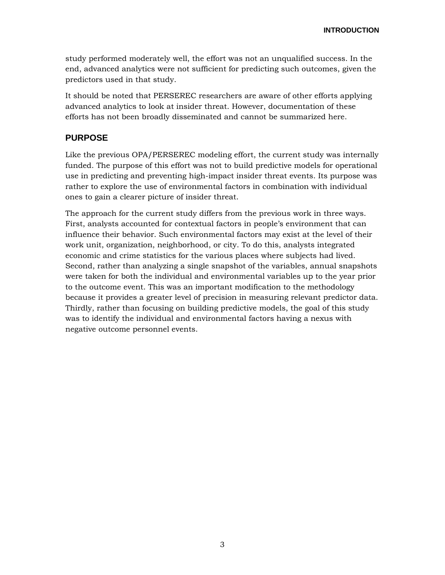study performed moderately well, the effort was not an unqualified success. In the end, advanced analytics were not sufficient for predicting such outcomes, given the predictors used in that study.

It should be noted that PERSEREC researchers are aware of other efforts applying advanced analytics to look at insider threat. However, documentation of these efforts has not been broadly disseminated and cannot be summarized here.

#### <span id="page-10-0"></span>**PURPOSE**

Like the previous OPA/PERSEREC modeling effort, the current study was internally funded. The purpose of this effort was not to build predictive models for operational use in predicting and preventing high-impact insider threat events. Its purpose was rather to explore the use of environmental factors in combination with individual ones to gain a clearer picture of insider threat.

The approach for the current study differs from the previous work in three ways. First, analysts accounted for contextual factors in people's environment that can influence their behavior. Such environmental factors may exist at the level of their work unit, organization, neighborhood, or city. To do this, analysts integrated economic and crime statistics for the various places where subjects had lived. Second, rather than analyzing a single snapshot of the variables, annual snapshots were taken for both the individual and environmental variables up to the year prior to the outcome event. This was an important modification to the methodology because it provides a greater level of precision in measuring relevant predictor data. Thirdly, rather than focusing on building predictive models, the goal of this study was to identify the individual and environmental factors having a nexus with negative outcome personnel events.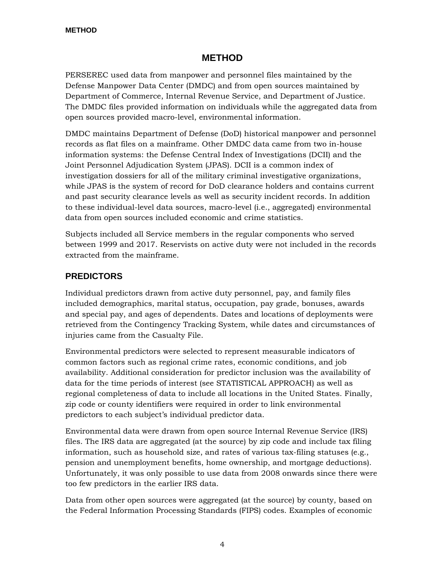#### **METHOD**

<span id="page-11-0"></span>PERSEREC used data from manpower and personnel files maintained by the Defense Manpower Data Center (DMDC) and from open sources maintained by Department of Commerce, Internal Revenue Service, and Department of Justice. The DMDC files provided information on individuals while the aggregated data from open sources provided macro-level, environmental information.

DMDC maintains Department of Defense (DoD) historical manpower and personnel records as flat files on a mainframe. Other DMDC data came from two in-house information systems: the Defense Central Index of Investigations (DCII) and the Joint Personnel Adjudication System (JPAS). DCII is a common index of investigation dossiers for all of the military criminal investigative organizations, while JPAS is the system of record for DoD clearance holders and contains current and past security clearance levels as well as security incident records. In addition to these individual-level data sources, macro-level (i.e., aggregated) environmental data from open sources included economic and crime statistics.

Subjects included all Service members in the regular components who served between 1999 and 2017. Reservists on active duty were not included in the records extracted from the mainframe.

#### <span id="page-11-1"></span>**PREDICTORS**

Individual predictors drawn from active duty personnel, pay, and family files included demographics, marital status, occupation, pay grade, bonuses, awards and special pay, and ages of dependents. Dates and locations of deployments were retrieved from the Contingency Tracking System, while dates and circumstances of injuries came from the Casualty File.

Environmental predictors were selected to represent measurable indicators of common factors such as regional crime rates, economic conditions, and job availability. Additional consideration for predictor inclusion was the availability of data for the time periods of interest (see STATISTICAL APPROACH) as well as regional completeness of data to include all locations in the United States. Finally, zip code or county identifiers were required in order to link environmental predictors to each subject's individual predictor data.

Environmental data were drawn from open source Internal Revenue Service (IRS) files. The IRS data are aggregated (at the source) by zip code and include tax filing information, such as household size, and rates of various tax-filing statuses (e.g., pension and unemployment benefits, home ownership, and mortgage deductions). Unfortunately, it was only possible to use data from 2008 onwards since there were too few predictors in the earlier IRS data.

Data from other open sources were aggregated (at the source) by county, based on the Federal Information Processing Standards (FIPS) codes. Examples of economic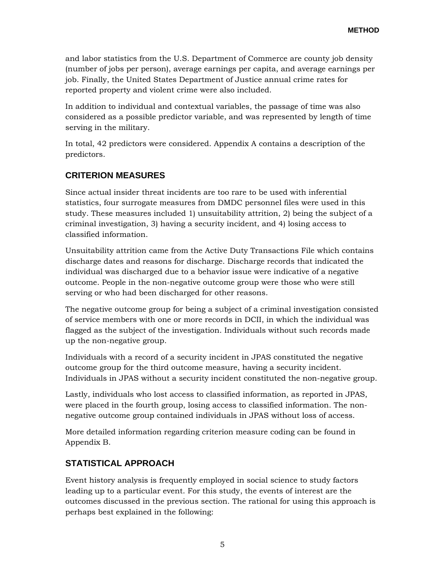and labor statistics from the U.S. Department of Commerce are county job density (number of jobs per person), average earnings per capita, and average earnings per job. Finally, the United States Department of Justice annual crime rates for reported property and violent crime were also included.

In addition to individual and contextual variables, the passage of time was also considered as a possible predictor variable, and was represented by length of time serving in the military.

In total, 42 predictors were considered. Appendix A contains a description of the predictors.

#### <span id="page-12-0"></span>**CRITERION MEASURES**

Since actual insider threat incidents are too rare to be used with inferential statistics, four surrogate measures from DMDC personnel files were used in this study. These measures included 1) unsuitability attrition, 2) being the subject of a criminal investigation, 3) having a security incident, and 4) losing access to classified information.

Unsuitability attrition came from the Active Duty Transactions File which contains discharge dates and reasons for discharge. Discharge records that indicated the individual was discharged due to a behavior issue were indicative of a negative outcome. People in the non-negative outcome group were those who were still serving or who had been discharged for other reasons.

The negative outcome group for being a subject of a criminal investigation consisted of service members with one or more records in DCII, in which the individual was flagged as the subject of the investigation. Individuals without such records made up the non-negative group.

Individuals with a record of a security incident in JPAS constituted the negative outcome group for the third outcome measure, having a security incident. Individuals in JPAS without a security incident constituted the non-negative group.

Lastly, individuals who lost access to classified information, as reported in JPAS, were placed in the fourth group, losing access to classified information. The nonnegative outcome group contained individuals in JPAS without loss of access.

More detailed information regarding criterion measure coding can be found in Appendix B.

#### <span id="page-12-1"></span>**STATISTICAL APPROACH**

Event history analysis is frequently employed in social science to study factors leading up to a particular event. For this study, the events of interest are the outcomes discussed in the previous section. The rational for using this approach is perhaps best explained in the following: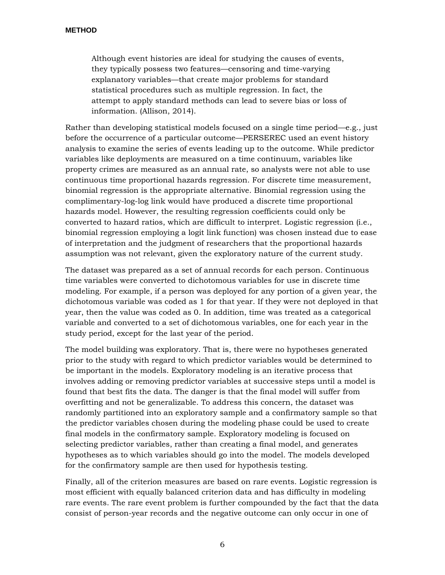Although event histories are ideal for studying the causes of events, they typically possess two features—censoring and time-varying explanatory variables—that create major problems for standard statistical procedures such as multiple regression. In fact, the attempt to apply standard methods can lead to severe bias or loss of information. (Allison, 2014).

Rather than developing statistical models focused on a single time period—e.g., just before the occurrence of a particular outcome—PERSEREC used an event history analysis to examine the series of events leading up to the outcome. While predictor variables like deployments are measured on a time continuum, variables like property crimes are measured as an annual rate, so analysts were not able to use continuous time proportional hazards regression. For discrete time measurement, binomial regression is the appropriate alternative. Binomial regression using the complimentary-log-log link would have produced a discrete time proportional hazards model. However, the resulting regression coefficients could only be converted to hazard ratios, which are difficult to interpret. Logistic regression (i.e., binomial regression employing a logit link function) was chosen instead due to ease of interpretation and the judgment of researchers that the proportional hazards assumption was not relevant, given the exploratory nature of the current study.

The dataset was prepared as a set of annual records for each person. Continuous time variables were converted to dichotomous variables for use in discrete time modeling. For example, if a person was deployed for any portion of a given year, the dichotomous variable was coded as 1 for that year. If they were not deployed in that year, then the value was coded as 0. In addition, time was treated as a categorical variable and converted to a set of dichotomous variables, one for each year in the study period, except for the last year of the period.

The model building was exploratory. That is, there were no hypotheses generated prior to the study with regard to which predictor variables would be determined to be important in the models. Exploratory modeling is an iterative process that involves adding or removing predictor variables at successive steps until a model is found that best fits the data. The danger is that the final model will suffer from overfitting and not be generalizable. To address this concern, the dataset was randomly partitioned into an exploratory sample and a confirmatory sample so that the predictor variables chosen during the modeling phase could be used to create final models in the confirmatory sample. Exploratory modeling is focused on selecting predictor variables, rather than creating a final model, and generates hypotheses as to which variables should go into the model. The models developed for the confirmatory sample are then used for hypothesis testing.

Finally, all of the criterion measures are based on rare events. Logistic regression is most efficient with equally balanced criterion data and has difficulty in modeling rare events. The rare event problem is further compounded by the fact that the data consist of person-year records and the negative outcome can only occur in one of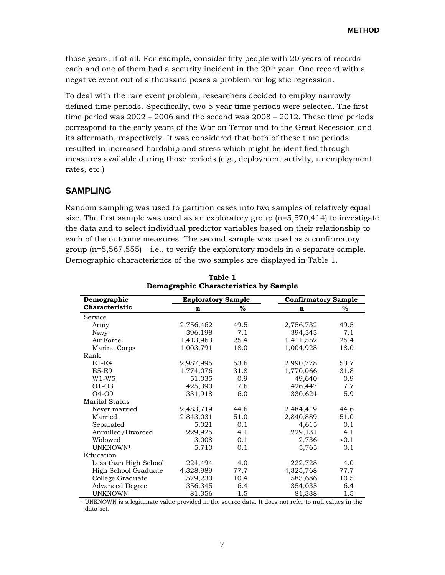those years, if at all. For example, consider fifty people with 20 years of records each and one of them had a security incident in the 20th year. One record with a negative event out of a thousand poses a problem for logistic regression.

To deal with the rare event problem, researchers decided to employ narrowly defined time periods. Specifically, two 5-year time periods were selected. The first time period was  $2002 - 2006$  and the second was  $2008 - 2012$ . These time periods correspond to the early years of the War on Terror and to the Great Recession and its aftermath, respectively. It was considered that both of these time periods resulted in increased hardship and stress which might be identified through measures available during those periods (e.g., deployment activity, unemployment rates, etc.)

#### <span id="page-14-0"></span>**SAMPLING**

Random sampling was used to partition cases into two samples of relatively equal size. The first sample was used as an exploratory group  $(n=5,570,414)$  to investigate the data and to select individual predictor variables based on their relationship to each of the outcome measures. The second sample was used as a confirmatory group  $(n=5,567,555) - i.e.,$  to verify the exploratory models in a separate sample. Demographic characteristics of the two samples are displayed in Table 1.

<span id="page-14-1"></span>

| Demographic            | <b>Exploratory Sample</b> |      |           | <b>Confirmatory Sample</b> |  |  |  |
|------------------------|---------------------------|------|-----------|----------------------------|--|--|--|
| Characteristic         | n                         | $\%$ | n         | %                          |  |  |  |
| Service                |                           |      |           |                            |  |  |  |
| Army                   | 2,756,462                 | 49.5 | 2,756,732 | 49.5                       |  |  |  |
| Navy                   | 396,198                   | 7.1  | 394,343   | 7.1                        |  |  |  |
| Air Force              | 1,413,963                 | 25.4 | 1,411,552 | 25.4                       |  |  |  |
| Marine Corps           | 1,003,791                 | 18.0 | 1,004,928 | 18.0                       |  |  |  |
| Rank                   |                           |      |           |                            |  |  |  |
| $E1-E4$                | 2,987,995                 | 53.6 | 2,990,778 | 53.7                       |  |  |  |
| <b>E5-E9</b>           | 1,774,076                 | 31.8 | 1,770,066 | 31.8                       |  |  |  |
| $W1-W5$                | 51,035                    | 0.9  | 49,640    | 0.9                        |  |  |  |
| $O1-O3$                | 425,390                   | 7.6  | 426,447   | 7.7                        |  |  |  |
| $O4-O9$                | 331,918                   | 6.0  | 330,624   | 5.9                        |  |  |  |
| Marital Status         |                           |      |           |                            |  |  |  |
| Never married          | 2,483,719                 | 44.6 | 2,484,419 | 44.6                       |  |  |  |
| Married                | 2,843,031                 | 51.0 | 2,840,889 | 51.0                       |  |  |  |
| Separated              | 5,021                     | 0.1  | 4,615     | 0.1                        |  |  |  |
| Annulled/Divorced      | 229,925                   | 4.1  | 229,131   | 4.1                        |  |  |  |
| Widowed                | 3,008                     | 0.1  | 2,736     | < 0.1                      |  |  |  |
| UNKNOWN <sup>1</sup>   | 5,710                     | 0.1  | 5,765     | 0.1                        |  |  |  |
| Education              |                           |      |           |                            |  |  |  |
| Less than High School  | 224,494                   | 4.0  | 222,728   | 4.0                        |  |  |  |
| High School Graduate   | 4,328,989                 | 77.7 | 4,325,768 | 77.7                       |  |  |  |
| College Graduate       | 579,230                   | 10.4 | 583,686   | 10.5                       |  |  |  |
| <b>Advanced Degree</b> | 356,345                   | 6.4  | 354,035   | 6.4                        |  |  |  |
| <b>UNKNOWN</b>         | 81,356                    | 1.5  | 81,338    | 1.5                        |  |  |  |

**Table 1 Demographic Characteristics by Sample**

 1 UNKNOWN is a legitimate value provided in the source data. It does not refer to null values in the data set.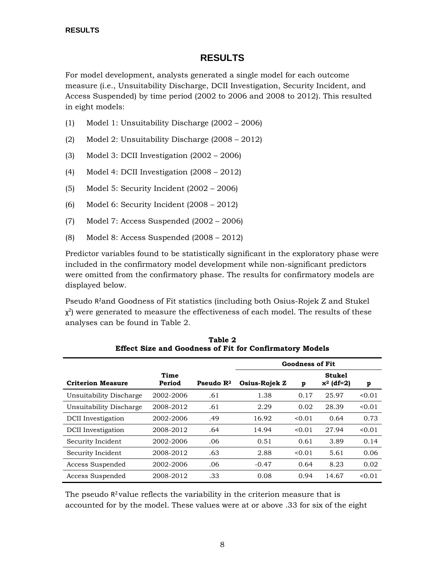#### **RESULTS**

<span id="page-15-0"></span>For model development, analysts generated a single model for each outcome measure (i.e., Unsuitability Discharge, DCII Investigation, Security Incident, and Access Suspended) by time period (2002 to 2006 and 2008 to 2012). This resulted in eight models:

- (1) Model 1: Unsuitability Discharge (2002 2006)
- (2) Model 2: Unsuitability Discharge (2008 2012)
- (3) Model 3: DCII Investigation (2002 2006)
- (4) Model 4: DCII Investigation (2008 2012)
- (5) Model 5: Security Incident (2002 2006)
- (6) Model 6: Security Incident (2008 2012)
- (7) Model 7: Access Suspended (2002 2006)
- (8) Model 8: Access Suspended (2008 2012)

Predictor variables found to be statistically significant in the exploratory phase were included in the confirmatory model development while non-significant predictors were omitted from the confirmatory phase. The results for confirmatory models are displayed below.

Pseudo R<sup>2</sup>and Goodness of Fit statistics (including both Osius-Rojek Z and Stukel  $\chi^2$ ) were generated to measure the effectiveness of each model. The results of these analyses can be found in Table 2.

<span id="page-15-1"></span>

|                           |                |                       | <b>Goodness of Fit</b> |        |                               |        |
|---------------------------|----------------|-----------------------|------------------------|--------|-------------------------------|--------|
| <b>Criterion Measure</b>  | Time<br>Period | Pseudo $\mathbb{R}^2$ | <b>Osius-Rojek Z</b>   | p      | <b>Stukel</b><br>$x^2$ (df=2) | p      |
| Unsuitability Discharge   | 2002-2006      | .61                   | 1.38                   | 0.17   | 25.97                         | 0.01   |
| Unsuitability Discharge   | 2008-2012      | .61                   | 2.29                   | 0.02   | 28.39                         | < 0.01 |
| <b>DCII</b> Investigation | 2002-2006      | .49                   | 16.92                  | 0.01   | 0.64                          | 0.73   |
| <b>DCII</b> Investigation | 2008-2012      | .64                   | 14.94                  | < 0.01 | 27.94                         | < 0.01 |
| Security Incident         | 2002-2006      | .06                   | 0.51                   | 0.61   | 3.89                          | 0.14   |
| Security Incident         | 2008-2012      | .63                   | 2.88                   | 0.01   | 5.61                          | 0.06   |
| Access Suspended          | 2002-2006      | .06                   | $-0.47$                | 0.64   | 8.23                          | 0.02   |
| Access Suspended          | 2008-2012      | .33                   | 0.08                   | 0.94   | 14.67                         | < 0.01 |

**Table 2 Effect Size and Goodness of Fit for Confirmatory Models**

The pseudo  $R^2$  value reflects the variability in the criterion measure that is accounted for by the model. These values were at or above .33 for six of the eight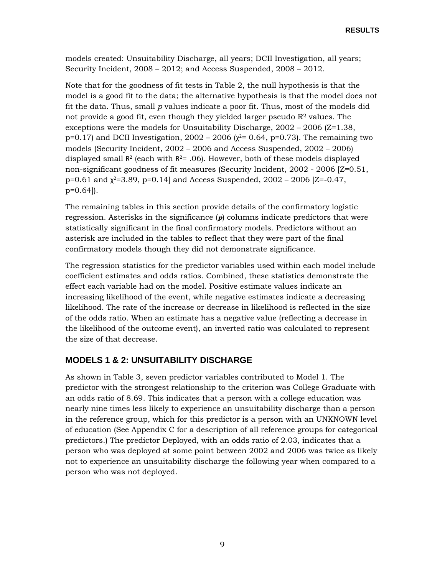models created: Unsuitability Discharge, all years; DCII Investigation, all years; Security Incident, 2008 – 2012; and Access Suspended, 2008 – 2012.

Note that for the goodness of fit tests in Table 2, the null hypothesis is that the model is a good fit to the data; the alternative hypothesis is that the model does not fit the data. Thus, small *p* values indicate a poor fit. Thus, most of the models did not provide a good fit, even though they yielded larger pseudo  $\mathbb{R}^2$  values. The exceptions were the models for Unsuitability Discharge,  $2002 - 2006$  ( $Z = 1.38$ , p=0.17) and DCII Investigation,  $2002 - 2006$  ( $\chi^2$ = 0.64, p=0.73). The remaining two models (Security Incident, 2002 – 2006 and Access Suspended, 2002 – 2006) displayed small  $R^2$  (each with  $R^2 = .06$ ). However, both of these models displayed non-significant goodness of fit measures (Security Incident, 2002 - 2006 [Z=0.51, p=0.61 and  $\chi^2$ =3.89, p=0.14] and Access Suspended, 2002 – 2006 [Z=-0.47, p=0.64]).

The remaining tables in this section provide details of the confirmatory logistic regression. Asterisks in the significance (*p*) columns indicate predictors that were statistically significant in the final confirmatory models. Predictors without an asterisk are included in the tables to reflect that they were part of the final confirmatory models though they did not demonstrate significance.

The regression statistics for the predictor variables used within each model include coefficient estimates and odds ratios. Combined, these statistics demonstrate the effect each variable had on the model. Positive estimate values indicate an increasing likelihood of the event, while negative estimates indicate a decreasing likelihood. The rate of the increase or decrease in likelihood is reflected in the size of the odds ratio. When an estimate has a negative value (reflecting a decrease in the likelihood of the outcome event), an inverted ratio was calculated to represent the size of that decrease.

#### <span id="page-16-0"></span>**MODELS 1 & 2: UNSUITABILITY DISCHARGE**

As shown in Table 3, seven predictor variables contributed to Model 1. The predictor with the strongest relationship to the criterion was College Graduate with an odds ratio of 8.69. This indicates that a person with a college education was nearly nine times less likely to experience an unsuitability discharge than a person in the reference group, which for this predictor is a person with an UNKNOWN level of education (See Appendix C for a description of all reference groups for categorical predictors.) The predictor Deployed, with an odds ratio of 2.03, indicates that a person who was deployed at some point between 2002 and 2006 was twice as likely not to experience an unsuitability discharge the following year when compared to a person who was not deployed.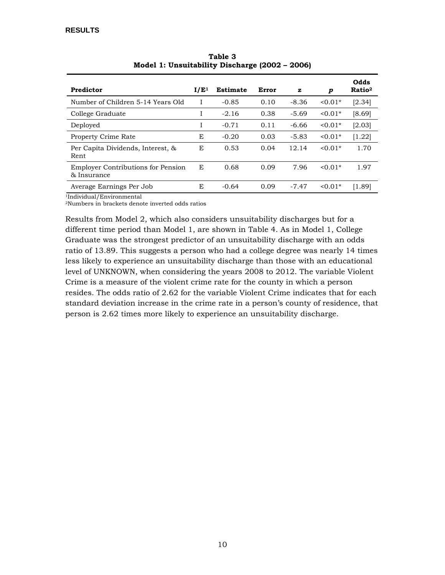<span id="page-17-0"></span>

| Predictor                                                | I/E <sup>1</sup> | <b>Estimate</b> | Error | ${\bf z}$ | p         | Odds<br>Ratio <sup>2</sup> |
|----------------------------------------------------------|------------------|-----------------|-------|-----------|-----------|----------------------------|
| Number of Children 5-14 Years Old                        | I                | $-0.85$         | 0.10  | $-8.36$   | $0.01*$   | [2.34]                     |
| College Graduate                                         | 1                | $-2.16$         | 0.38  | $-5.69$   | $0.01*$   | [8.69]                     |
| Deployed                                                 | Ι.               | $-0.71$         | 0.11  | $-6.66$   | $0.01*$   | [2.03]                     |
| <b>Property Crime Rate</b>                               | E                | $-0.20$         | 0.03  | $-5.83$   | $< 0.01*$ | [1.22]                     |
| Per Capita Dividends, Interest, &<br>Rent.               | E                | 0.53            | 0.04  | 12.14     | $< 0.01*$ | 1.70                       |
| <b>Employer Contributions for Pension</b><br>& Insurance | E                | 0.68            | 0.09  | 7.96      | $< 0.01*$ | 1.97                       |
| Average Earnings Per Job                                 | E                | $-0.64$         | 0.09  | $-7.47$   | $0.01*$   | [1.89]                     |

**Table 3 Model 1: Unsuitability Discharge (2002 – 2006)**

1Individual/Environmental

2Numbers in brackets denote inverted odds ratios

Results from Model 2, which also considers unsuitability discharges but for a different time period than Model 1, are shown in Table 4. As in Model 1, College Graduate was the strongest predictor of an unsuitability discharge with an odds ratio of 13.89. This suggests a person who had a college degree was nearly 14 times less likely to experience an unsuitability discharge than those with an educational level of UNKNOWN, when considering the years 2008 to 2012. The variable Violent Crime is a measure of the violent crime rate for the county in which a person resides. The odds ratio of 2.62 for the variable Violent Crime indicates that for each standard deviation increase in the crime rate in a person's county of residence, that person is 2.62 times more likely to experience an unsuitability discharge.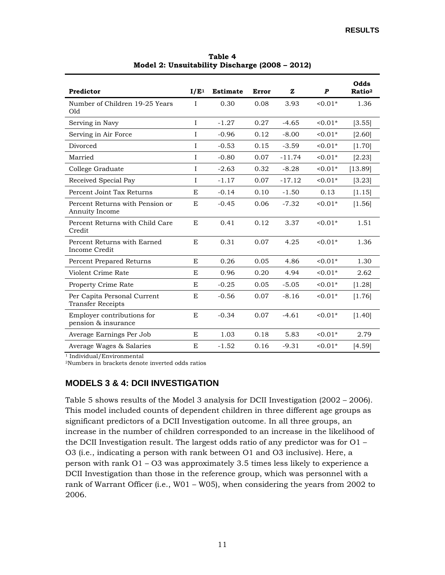<span id="page-18-1"></span>

| Predictor                                               | I/E <sup>1</sup> | <b>Estimate</b> | Error | ${\bf z}$ | P       | Odds<br>Ratio <sup>2</sup> |
|---------------------------------------------------------|------------------|-----------------|-------|-----------|---------|----------------------------|
| Number of Children 19-25 Years<br>Old                   | I                | 0.30            | 0.08  | 3.93      | $0.01*$ | 1.36                       |
| Serving in Navy                                         | $\mathbf I$      | $-1.27$         | 0.27  | $-4.65$   | $0.01*$ | [3.55]                     |
| Serving in Air Force                                    | I                | $-0.96$         | 0.12  | $-8.00$   | $0.01*$ | [2.60]                     |
| Divorced                                                | I                | $-0.53$         | 0.15  | $-3.59$   | $0.01*$ | [1.70]                     |
| Married                                                 | I                | $-0.80$         | 0.07  | $-11.74$  | $0.01*$ | [2.23]                     |
| College Graduate                                        | I                | $-2.63$         | 0.32  | $-8.28$   | $0.01*$ | [13.89]                    |
| Received Special Pay                                    | I                | $-1.17$         | 0.07  | $-17.12$  | $0.01*$ | [3.23]                     |
| Percent Joint Tax Returns                               | E                | $-0.14$         | 0.10  | $-1.50$   | 0.13    | [1.15]                     |
| Percent Returns with Pension or<br>Annuity Income       | E                | $-0.45$         | 0.06  | $-7.32$   | $0.01*$ | [1.56]                     |
| Percent Returns with Child Care<br>Credit               | E                | 0.41            | 0.12  | 3.37      | $0.01*$ | 1.51                       |
| Percent Returns with Earned<br>Income Credit            | E,               | 0.31            | 0.07  | 4.25      | $0.01*$ | 1.36                       |
| Percent Prepared Returns                                | E                | 0.26            | 0.05  | 4.86      | $0.01*$ | 1.30                       |
| Violent Crime Rate                                      | E                | 0.96            | 0.20  | 4.94      | $0.01*$ | 2.62                       |
| <b>Property Crime Rate</b>                              | E                | $-0.25$         | 0.05  | $-5.05$   | $0.01*$ | [1.28]                     |
| Per Capita Personal Current<br><b>Transfer Receipts</b> | E                | $-0.56$         | 0.07  | $-8.16$   | $0.01*$ | [1.76]                     |
| Employer contributions for<br>pension & insurance       | $\mathbf E$      | $-0.34$         | 0.07  | $-4.61$   | $0.01*$ | [1.40]                     |
| Average Earnings Per Job                                | E                | 1.03            | 0.18  | 5.83      | $0.01*$ | 2.79                       |
| Average Wages & Salaries                                | E                | $-1.52$         | 0.16  | $-9.31$   | $0.01*$ | [4.59]                     |

**Table 4 Model 2: Unsuitability Discharge (2008 – 2012)**

<sup>1</sup> Individual/Environmental

<span id="page-18-0"></span>2Numbers in brackets denote inverted odds ratios

#### **MODELS 3 & 4: DCII INVESTIGATION**

Table 5 shows results of the Model 3 analysis for DCII Investigation (2002 – 2006). This model included counts of dependent children in three different age groups as significant predictors of a DCII Investigation outcome. In all three groups, an increase in the number of children corresponded to an increase in the likelihood of the DCII Investigation result. The largest odds ratio of any predictor was for  $O1 -$ O3 (i.e., indicating a person with rank between O1 and O3 inclusive). Here, a person with rank O1 – O3 was approximately 3.5 times less likely to experience a DCII Investigation than those in the reference group, which was personnel with a rank of Warrant Officer (i.e., W01 – W05), when considering the years from 2002 to 2006.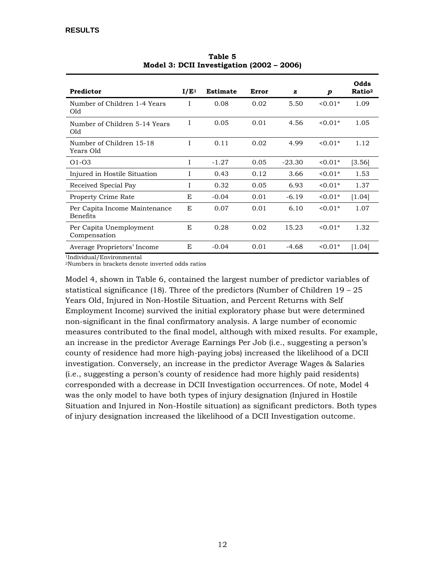<span id="page-19-0"></span>

| Predictor                                        | I/E <sup>1</sup> | <b>Estimate</b> | Error | z        | p         | Odds<br>Ratio <sup>2</sup> |
|--------------------------------------------------|------------------|-----------------|-------|----------|-----------|----------------------------|
| Number of Children 1-4 Years<br>Old              | I                | 0.08            | 0.02  | 5.50     | $0.01*$   | 1.09                       |
| Number of Children 5-14 Years<br>Old             | I                | 0.05            | 0.01  | 4.56     | $< 0.01*$ | 1.05                       |
| Number of Children 15-18<br>Years Old            | T                | 0.11            | 0.02  | 4.99     | $< 0.01*$ | 1.12                       |
| $O1-O3$                                          | I                | $-1.27$         | 0.05  | $-23.30$ | $0.01*$   | [3.56]                     |
| Injured in Hostile Situation                     | T                | 0.43            | 0.12  | 3.66     | $0.01*$   | 1.53                       |
| Received Special Pay                             | I                | 0.32            | 0.05  | 6.93     | $0.01*$   | 1.37                       |
| <b>Property Crime Rate</b>                       | E                | $-0.04$         | 0.01  | $-6.19$  | $0.01*$   | [1.04]                     |
| Per Capita Income Maintenance<br><b>Benefits</b> | E                | 0.07            | 0.01  | 6.10     | $0.01*$   | 1.07                       |
| Per Capita Unemployment<br>Compensation          | E                | 0.28            | 0.02  | 15.23    | $0.01*$   | 1.32                       |
| Average Proprietors' Income                      | E                | $-0.04$         | 0.01  | $-4.68$  | $0.01*$   | [1.04]                     |

**Table 5 Model 3: DCII Investigation (2002 – 2006)**

1Individual/Environmental

2Numbers in brackets denote inverted odds ratios

Model 4, shown in Table 6, contained the largest number of predictor variables of statistical significance (18). Three of the predictors (Number of Children 19 – 25 Years Old, Injured in Non-Hostile Situation, and Percent Returns with Self Employment Income) survived the initial exploratory phase but were determined non-significant in the final confirmatory analysis. A large number of economic measures contributed to the final model, although with mixed results. For example, an increase in the predictor Average Earnings Per Job (i.e., suggesting a person's county of residence had more high-paying jobs) increased the likelihood of a DCII investigation. Conversely, an increase in the predictor Average Wages & Salaries (i.e., suggesting a person's county of residence had more highly paid residents) corresponded with a decrease in DCII Investigation occurrences. Of note, Model 4 was the only model to have both types of injury designation (Injured in Hostile Situation and Injured in Non-Hostile situation) as significant predictors. Both types of injury designation increased the likelihood of a DCII Investigation outcome.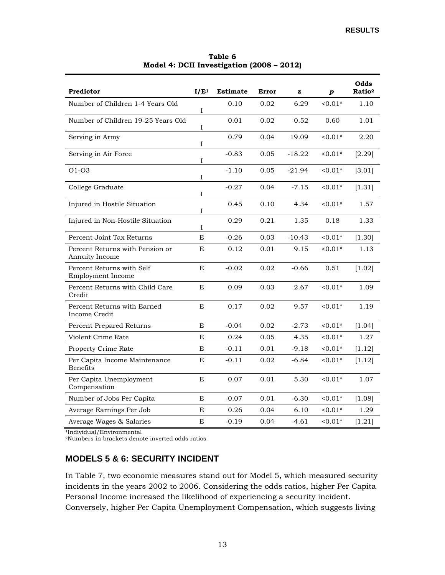<span id="page-20-1"></span>

| Predictor                                         | I/E <sup>1</sup> | <b>Estimate</b> | Error | z        | p         | Odds<br>Ratio <sup>2</sup> |
|---------------------------------------------------|------------------|-----------------|-------|----------|-----------|----------------------------|
| Number of Children 1-4 Years Old                  | I                | 0.10            | 0.02  | 6.29     | $0.01*$   | 1.10                       |
| Number of Children 19-25 Years Old                | I                | 0.01            | 0.02  | 0.52     | 0.60      | 1.01                       |
| Serving in Army                                   | I                | 0.79            | 0.04  | 19.09    | $0.01*$   | 2.20                       |
| Serving in Air Force                              | I                | $-0.83$         | 0.05  | $-18.22$ | $0.01*$   | [2.29]                     |
| $O1-O3$                                           | I                | $-1.10$         | 0.05  | $-21.94$ | $0.01*$   | [3.01]                     |
| College Graduate                                  | I                | $-0.27$         | 0.04  | $-7.15$  | $0.01*$   | [1.31]                     |
| Injured in Hostile Situation                      | I                | 0.45            | 0.10  | 4.34     | $0.01*$   | 1.57                       |
| Injured in Non-Hostile Situation                  | I                | 0.29            | 0.21  | 1.35     | 0.18      | 1.33                       |
| Percent Joint Tax Returns                         | E                | $-0.26$         | 0.03  | $-10.43$ | $0.01*$   | [1.30]                     |
| Percent Returns with Pension or<br>Annuity Income | E                | 0.12            | 0.01  | 9.15     | $0.01*$   | 1.13                       |
| Percent Returns with Self<br>Employment Income    | E                | $-0.02$         | 0.02  | $-0.66$  | 0.51      | [1.02]                     |
| Percent Returns with Child Care<br>Credit         | E                | 0.09            | 0.03  | 2.67     | $< 0.01*$ | 1.09                       |
| Percent Returns with Earned<br>Income Credit      | E                | 0.17            | 0.02  | 9.57     | $0.01*$   | 1.19                       |
| Percent Prepared Returns                          | E                | $-0.04$         | 0.02  | $-2.73$  | $0.01*$   | [1.04]                     |
| Violent Crime Rate                                | E                | 0.24            | 0.05  | 4.35     | $0.01*$   | 1.27                       |
| Property Crime Rate                               | $\mathbf E$      | $-0.11$         | 0.01  | $-9.18$  | $0.01*$   | [1.12]                     |
| Per Capita Income Maintenance<br><b>Benefits</b>  | E                | $-0.11$         | 0.02  | $-6.84$  | $0.01*$   | [1.12]                     |
| Per Capita Unemployment<br>Compensation           | E                | 0.07            | 0.01  | 5.30     | $0.01*$   | 1.07                       |
| Number of Jobs Per Capita                         | E                | $-0.07$         | 0.01  | $-6.30$  | $0.01*$   | [1.08]                     |
| Average Earnings Per Job                          | E                | 0.26            | 0.04  | 6.10     | $0.01*$   | 1.29                       |
| Average Wages & Salaries                          | E                | $-0.19$         | 0.04  | -4.61    | $0.01*$   | [1.21]                     |

**Table 6 Model 4: DCII Investigation (2008 – 2012)**

1Individual/Environmental

<span id="page-20-0"></span>2Numbers in brackets denote inverted odds ratios

#### **MODELS 5 & 6: SECURITY INCIDENT**

In Table 7, two economic measures stand out for Model 5, which measured security incidents in the years 2002 to 2006. Considering the odds ratios, higher Per Capita Personal Income increased the likelihood of experiencing a security incident. Conversely, higher Per Capita Unemployment Compensation, which suggests living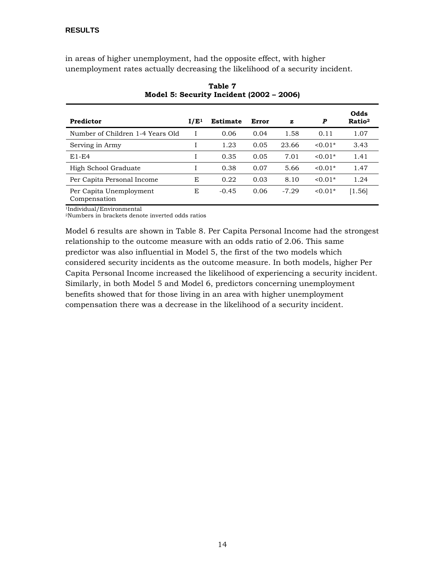<span id="page-21-0"></span>in areas of higher unemployment, had the opposite effect, with higher unemployment rates actually decreasing the likelihood of a security incident.

| Predictor                               | I/E <sup>1</sup> | <b>Estimate</b> | Error | z       | P         | Odds<br>Ratio <sup>2</sup> |
|-----------------------------------------|------------------|-----------------|-------|---------|-----------|----------------------------|
| Number of Children 1-4 Years Old        |                  | 0.06            | 0.04  | 1.58    | 0.11      | 1.07                       |
| Serving in Army                         |                  | 1.23            | 0.05  | 23.66   | $< 0.01*$ | 3.43                       |
| $E1-E4$                                 |                  | 0.35            | 0.05  | 7.01    | $< 0.01*$ | 1.41                       |
| High School Graduate                    |                  | 0.38            | 0.07  | 5.66    | $< 0.01*$ | 1.47                       |
| Per Capita Personal Income              | E                | 0.22            | 0.03  | 8.10    | $< 0.01*$ | 1.24                       |
| Per Capita Unemployment<br>Compensation | E                | $-0.45$         | 0.06  | $-7.29$ | $0.01*$   | $\left[1.56\right]$        |

**Table 7 Model 5: Security Incident (2002 – 2006)**

1Individual/Environmental

2Numbers in brackets denote inverted odds ratios

Model 6 results are shown in Table 8. Per Capita Personal Income had the strongest relationship to the outcome measure with an odds ratio of 2.06. This same predictor was also influential in Model 5, the first of the two models which considered security incidents as the outcome measure. In both models, higher Per Capita Personal Income increased the likelihood of experiencing a security incident. Similarly, in both Model 5 and Model 6, predictors concerning unemployment benefits showed that for those living in an area with higher unemployment compensation there was a decrease in the likelihood of a security incident.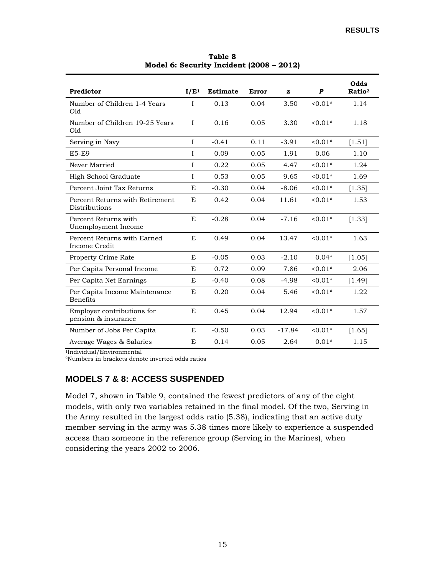<span id="page-22-1"></span>

| Predictor                                         | I/E <sup>1</sup> | <b>Estimate</b> | Error | z        | $\boldsymbol{P}$ | Odds<br>Ratio <sup>2</sup> |
|---------------------------------------------------|------------------|-----------------|-------|----------|------------------|----------------------------|
| Number of Children 1-4 Years<br>Old               | I                | 0.13            | 0.04  | 3.50     | $< 0.01*$        | 1.14                       |
| Number of Children 19-25 Years<br>Old             | $\mathbf I$      | 0.16            | 0.05  | 3.30     | $< 0.01*$        | 1.18                       |
| Serving in Navy                                   | I                | $-0.41$         | 0.11  | $-3.91$  | $< 0.01*$        | [1.51]                     |
| <b>E5-E9</b>                                      | $\mathbf I$      | 0.09            | 0.05  | 1.91     | 0.06             | 1.10                       |
| Never Married                                     | I                | 0.22            | 0.05  | 4.47     | $< 0.01*$        | 1.24                       |
| High School Graduate                              | I                | 0.53            | 0.05  | 9.65     | $0.01*$          | 1.69                       |
| Percent Joint Tax Returns                         | E                | $-0.30$         | 0.04  | $-8.06$  | $< 0.01*$        | [1.35]                     |
| Percent Returns with Retirement<br>Distributions  | E                | 0.42            | 0.04  | 11.61    | $0.01*$          | 1.53                       |
| Percent Returns with<br>Unemployment Income       | E                | $-0.28$         | 0.04  | $-7.16$  | $< 0.01*$        | [1.33]                     |
| Percent Returns with Earned<br>Income Credit      | E                | 0.49            | 0.04  | 13.47    | $< 0.01*$        | 1.63                       |
| Property Crime Rate                               | E                | $-0.05$         | 0.03  | $-2.10$  | $0.04*$          | [1.05]                     |
| Per Capita Personal Income                        | E                | 0.72            | 0.09  | 7.86     | $0.01*$          | 2.06                       |
| Per Capita Net Earnings                           | E                | $-0.40$         | 0.08  | $-4.98$  | $0.01*$          | [1.49]                     |
| Per Capita Income Maintenance<br><b>Benefits</b>  | E                | 0.20            | 0.04  | 5.46     | $0.01*$          | 1.22                       |
| Employer contributions for<br>pension & insurance | E                | 0.45            | 0.04  | 12.94    | $< 0.01*$        | 1.57                       |
| Number of Jobs Per Capita                         | E                | $-0.50$         | 0.03  | $-17.84$ | $0.01*$          | [1.65]                     |
| Average Wages & Salaries                          | E                | 0.14            | 0.05  | 2.64     | $0.01*$          | 1.15                       |

**Table 8 Model 6: Security Incident (2008 – 2012)**

1Individual/Environmental

<span id="page-22-0"></span>2Numbers in brackets denote inverted odds ratios

#### **MODELS 7 & 8: ACCESS SUSPENDED**

Model 7, shown in Table 9, contained the fewest predictors of any of the eight models, with only two variables retained in the final model. Of the two, Serving in the Army resulted in the largest odds ratio (5.38), indicating that an active duty member serving in the army was 5.38 times more likely to experience a suspended access than someone in the reference group (Serving in the Marines), when considering the years 2002 to 2006.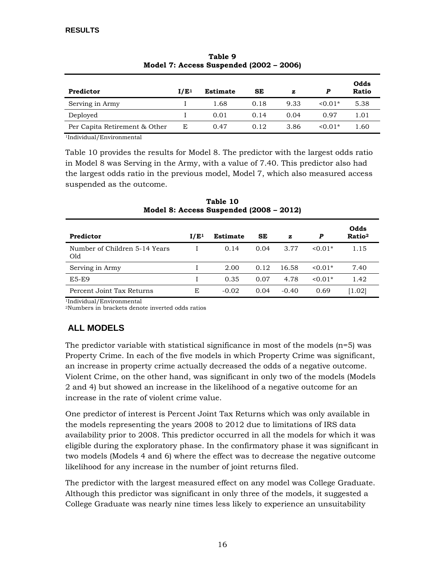<span id="page-23-1"></span>

| Predictor                     | I/E <sup>1</sup> | <b>Estimate</b> | SE   | z    | P         | Odds<br><b>Ratio</b> |
|-------------------------------|------------------|-----------------|------|------|-----------|----------------------|
| Serving in Army               |                  | 1.68            | 0.18 | 9.33 | $0.01*$   | 5.38                 |
| Deployed                      |                  | 0.01            | 0.14 | 0.04 | 0.97      | 1.01                 |
| Per Capita Retirement & Other | F.               | 0.47            | 0.12 | 3.86 | $< 0.01*$ | 1.60                 |

**Table 9 Model 7: Access Suspended (2002 – 2006)**

1Individual/Environmental

Table 10 provides the results for Model 8. The predictor with the largest odds ratio in Model 8 was Serving in the Army, with a value of 7.40. This predictor also had the largest odds ratio in the previous model, Model 7, which also measured access suspended as the outcome.

<span id="page-23-2"></span>

| Predictor                            | I/E <sup>1</sup> | Estimate | SE   | z       | P           | Odds<br>Ratio <sup>2</sup> |
|--------------------------------------|------------------|----------|------|---------|-------------|----------------------------|
| Number of Children 5-14 Years<br>Old |                  | 0.14     | 0.04 | 3.77    | $< 0.01*$   | 1.15                       |
| Serving in Army                      |                  | 2.00     | 0.12 | 16.58   | $\le 0.01*$ | 7.40                       |
| <b>E5-E9</b>                         |                  | 0.35     | 0.07 | 4.78    | $< 0.01*$   | 1.42                       |
| Percent Joint Tax Returns            | E                | $-0.02$  | 0.04 | $-0.40$ | 0.69        | [1.02]                     |

**Table 10 Model 8: Access Suspended (2008 – 2012)**

1Individual/Environmental

<span id="page-23-0"></span>2Numbers in brackets denote inverted odds ratios

### **ALL MODELS**

The predictor variable with statistical significance in most of the models (n=5) was Property Crime. In each of the five models in which Property Crime was significant, an increase in property crime actually decreased the odds of a negative outcome. Violent Crime, on the other hand, was significant in only two of the models (Models 2 and 4) but showed an increase in the likelihood of a negative outcome for an increase in the rate of violent crime value.

One predictor of interest is Percent Joint Tax Returns which was only available in the models representing the years 2008 to 2012 due to limitations of IRS data availability prior to 2008. This predictor occurred in all the models for which it was eligible during the exploratory phase. In the confirmatory phase it was significant in two models (Models 4 and 6) where the effect was to decrease the negative outcome likelihood for any increase in the number of joint returns filed.

The predictor with the largest measured effect on any model was College Graduate. Although this predictor was significant in only three of the models, it suggested a College Graduate was nearly nine times less likely to experience an unsuitability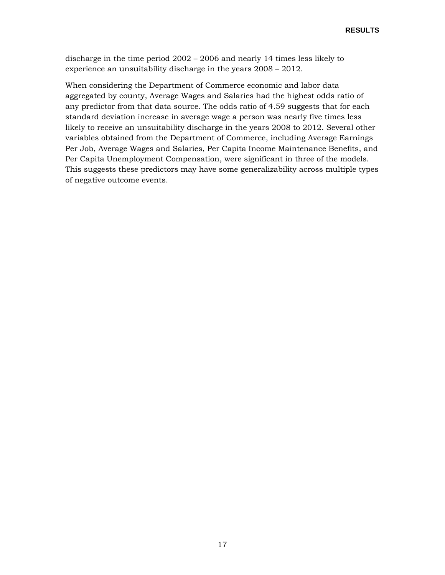discharge in the time period 2002 – 2006 and nearly 14 times less likely to experience an unsuitability discharge in the years 2008 – 2012.

When considering the Department of Commerce economic and labor data aggregated by county, Average Wages and Salaries had the highest odds ratio of any predictor from that data source. The odds ratio of 4.59 suggests that for each standard deviation increase in average wage a person was nearly five times less likely to receive an unsuitability discharge in the years 2008 to 2012. Several other variables obtained from the Department of Commerce, including Average Earnings Per Job, Average Wages and Salaries, Per Capita Income Maintenance Benefits, and Per Capita Unemployment Compensation, were significant in three of the models. This suggests these predictors may have some generalizability across multiple types of negative outcome events.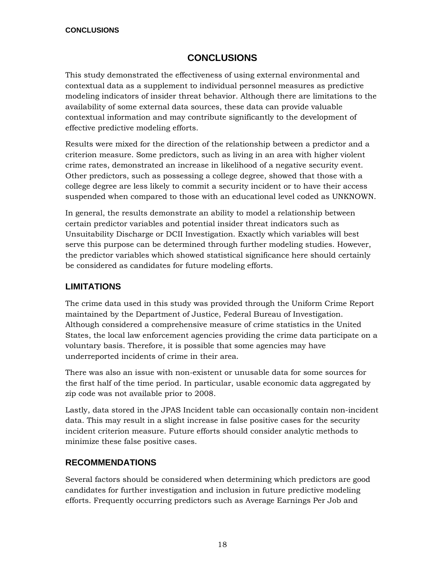### **CONCLUSIONS**

<span id="page-25-0"></span>This study demonstrated the effectiveness of using external environmental and contextual data as a supplement to individual personnel measures as predictive modeling indicators of insider threat behavior. Although there are limitations to the availability of some external data sources, these data can provide valuable contextual information and may contribute significantly to the development of effective predictive modeling efforts.

Results were mixed for the direction of the relationship between a predictor and a criterion measure. Some predictors, such as living in an area with higher violent crime rates, demonstrated an increase in likelihood of a negative security event. Other predictors, such as possessing a college degree, showed that those with a college degree are less likely to commit a security incident or to have their access suspended when compared to those with an educational level coded as UNKNOWN.

In general, the results demonstrate an ability to model a relationship between certain predictor variables and potential insider threat indicators such as Unsuitability Discharge or DCII Investigation. Exactly which variables will best serve this purpose can be determined through further modeling studies. However, the predictor variables which showed statistical significance here should certainly be considered as candidates for future modeling efforts.

#### <span id="page-25-1"></span>**LIMITATIONS**

The crime data used in this study was provided through the Uniform Crime Report maintained by the Department of Justice, Federal Bureau of Investigation. Although considered a comprehensive measure of crime statistics in the United States, the local law enforcement agencies providing the crime data participate on a voluntary basis. Therefore, it is possible that some agencies may have underreported incidents of crime in their area.

There was also an issue with non-existent or unusable data for some sources for the first half of the time period. In particular, usable economic data aggregated by zip code was not available prior to 2008.

Lastly, data stored in the JPAS Incident table can occasionally contain non-incident data. This may result in a slight increase in false positive cases for the security incident criterion measure. Future efforts should consider analytic methods to minimize these false positive cases.

#### <span id="page-25-2"></span>**RECOMMENDATIONS**

Several factors should be considered when determining which predictors are good candidates for further investigation and inclusion in future predictive modeling efforts. Frequently occurring predictors such as Average Earnings Per Job and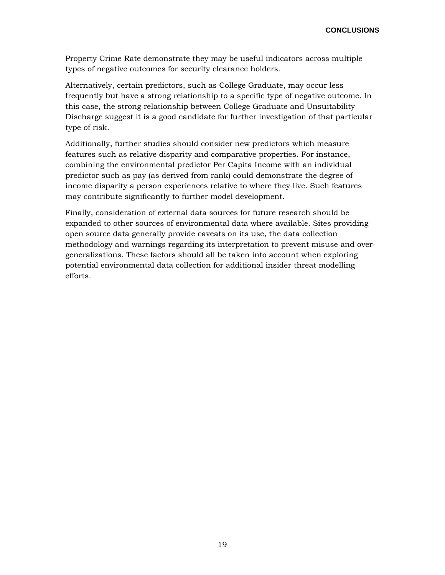Property Crime Rate demonstrate they may be useful indicators across multiple types of negative outcomes for security clearance holders.

Alternatively, certain predictors, such as College Graduate, may occur less frequently but have a strong relationship to a specific type of negative outcome. In this case, the strong relationship between College Graduate and Unsuitability Discharge suggest it is a good candidate for further investigation of that particular type of risk.

Additionally, further studies should consider new predictors which measure features such as relative disparity and comparative properties. For instance, combining the environmental predictor Per Capita Income with an individual predictor such as pay (as derived from rank) could demonstrate the degree of income disparity a person experiences relative to where they live. Such features may contribute significantly to further model development.

Finally, consideration of external data sources for future research should be expanded to other sources of environmental data where available. Sites providing open source data generally provide caveats on its use, the data collection methodology and warnings regarding its interpretation to prevent misuse and overgeneralizations. These factors should all be taken into account when exploring potential environmental data collection for additional insider threat modelling efforts.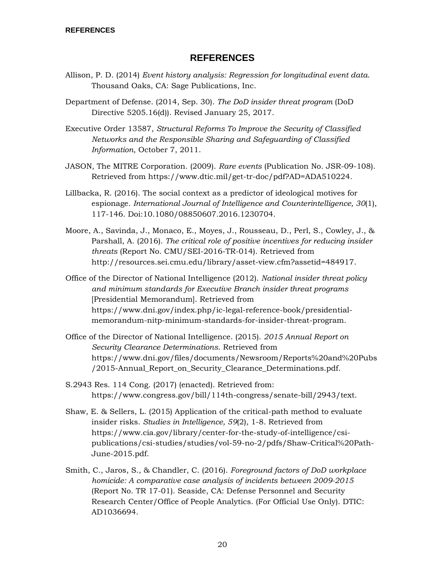#### **REFERENCES**

- <span id="page-27-0"></span>Allison, P. D. (2014) *Event history analysis: Regression for longitudinal event data*. Thousand Oaks, CA: Sage Publications, Inc.
- Department of Defense. (2014, Sep. 30). *The DoD insider threat program* (DoD Directive 5205.16(d)). Revised January 25, 2017.

Executive Order 13587, *Structural Reforms To Improve the Security of Classified Networks and the Responsible Sharing and Safeguarding of Classified Information*, October 7, 2011.

- JASON, The MITRE Corporation. (2009). *Rare events* (Publication No. JSR-09-108). Retrieved from https:/[/www.dtic.mil/get-tr-d](http://www.dtic.mil/get-tr-)oc/pdf?AD=ADA510224.
- Lillbacka, R. (2016). The social context as a predictor of ideological motives for espionage. *International Journal of Intelligence and Counterintelligence, 30*(1), 117-146. Doi:10.1080/08850607.2016.1230704.
- Moore, A., Savinda, J., Monaco, E., Moyes, J., Rousseau, D., Perl, S., Cowley, J., & Parshall, A. (2016). *The critical role of positive incentives for reducing insider threats* (Report No. CMU/SEI-2016-TR-014). Retrieved from http://resources.sei.cmu.edu/library/asset-view.cfm?assetid=484917.
- Office of the Director of National Intelligence (2012). *National insider threat policy and minimum standards for Executive Branch insider threat programs* [Presidential Memorandum]. Retrieved from https://www.dni.gov/index.php/ic-legal-reference-book/presidentialmemorandum-nitp-minimum-standards-for-insider-threat-program.
- Office of the Director of National Intelligence. (2015). *2015 Annual Report on Security Clearance Determinations*. Retrieved from https://www.dni.gov/files/documents/Newsroom/Reports%20and%20Pubs /2015-Annual Report on Security Clearance Determinations.pdf.
- S.2943 Res. 114 Cong. (2017) (enacted). Retrieved from: https://www.congress.gov/bill/114th-congress/senate-bill/2943/text.
- Shaw, E. & Sellers, L. (2015) Application of the critical-path method to evaluate insider risks. *Studies in Intelligence, 59*(2), 1-8. Retrieved from [https://www.cia.gov/library/center-for-t](https://www.cia.gov/library/center-for-)he-study-of-intelligence/csipublications/csi-studies/studies/vol-59-no-2/pdfs/Shaw-Critical%20Path-June-2015.pdf.
- Smith, C., Jaros, S., & Chandler, C. (2016). *Foreground factors of DoD workplace homicide: A comparative case analysis of incidents between 2009-2015* (Report No. TR 17-01). Seaside, CA: Defense Personnel and Security Research Center/Office of People Analytics. (For Official Use Only). DTIC: AD1036694.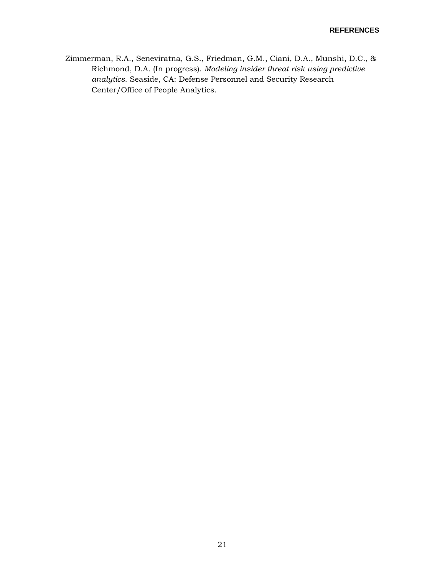Zimmerman, R.A., Seneviratna, G.S., Friedman, G.M., Ciani, D.A., Munshi, D.C., & Richmond, D.A. (In progress). *Modeling insider threat risk using predictive analytics*. Seaside, CA: Defense Personnel and Security Research Center/Office of People Analytics.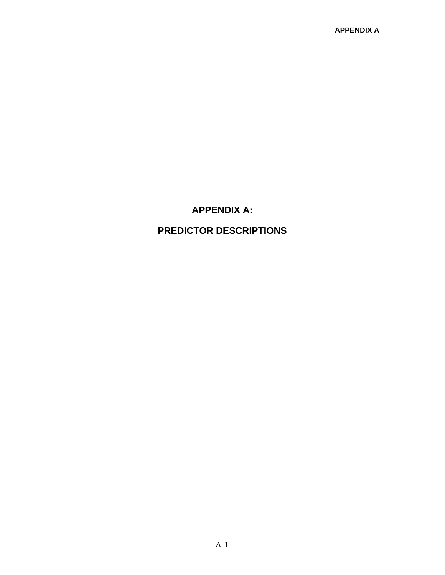### **APPENDIX A:**

# <span id="page-29-0"></span>**PREDICTOR DESCRIPTIONS**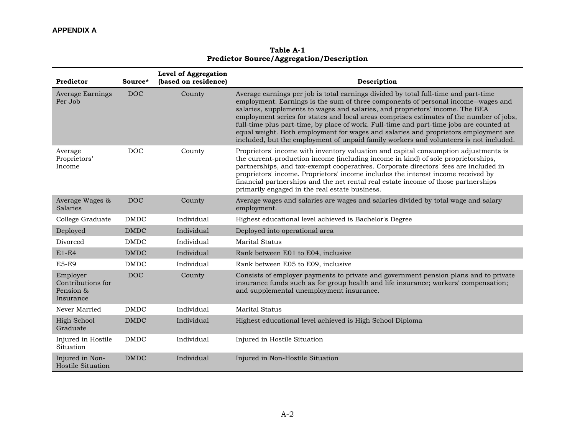**Table A-1 Predictor Source/Aggregation/Description**

<span id="page-30-0"></span>

| Predictor                                               | Source*     | Level of Aggregation<br>(based on residence) | Description                                                                                                                                                                                                                                                                                                                                                                                                                                                                                                                                                                                                                     |
|---------------------------------------------------------|-------------|----------------------------------------------|---------------------------------------------------------------------------------------------------------------------------------------------------------------------------------------------------------------------------------------------------------------------------------------------------------------------------------------------------------------------------------------------------------------------------------------------------------------------------------------------------------------------------------------------------------------------------------------------------------------------------------|
| Average Earnings<br>Per Job                             | <b>DOC</b>  | County                                       | Average earnings per job is total earnings divided by total full-time and part-time<br>employment. Earnings is the sum of three components of personal income--wages and<br>salaries, supplements to wages and salaries, and proprietors' income. The BEA<br>employment series for states and local areas comprises estimates of the number of jobs,<br>full-time plus part-time, by place of work. Full-time and part-time jobs are counted at<br>equal weight. Both employment for wages and salaries and proprietors employment are<br>included, but the employment of unpaid family workers and volunteers is not included. |
| Average<br>Proprietors'<br>Income                       | <b>DOC</b>  | County                                       | Proprietors' income with inventory valuation and capital consumption adjustments is<br>the current-production income (including income in kind) of sole proprietorships,<br>partnerships, and tax-exempt cooperatives. Corporate directors' fees are included in<br>proprietors' income. Proprietors' income includes the interest income received by<br>financial partnerships and the net rental real estate income of those partnerships<br>primarily engaged in the real estate business.                                                                                                                                   |
| Average Wages &<br>Salaries                             | <b>DOC</b>  | County                                       | Average wages and salaries are wages and salaries divided by total wage and salary<br>employment.                                                                                                                                                                                                                                                                                                                                                                                                                                                                                                                               |
| College Graduate                                        | <b>DMDC</b> | Individual                                   | Highest educational level achieved is Bachelor's Degree                                                                                                                                                                                                                                                                                                                                                                                                                                                                                                                                                                         |
| Deployed                                                | <b>DMDC</b> | Individual                                   | Deployed into operational area                                                                                                                                                                                                                                                                                                                                                                                                                                                                                                                                                                                                  |
| Divorced                                                | <b>DMDC</b> | Individual                                   | <b>Marital Status</b>                                                                                                                                                                                                                                                                                                                                                                                                                                                                                                                                                                                                           |
| $E1-E4$                                                 | <b>DMDC</b> | Individual                                   | Rank between E01 to E04, inclusive                                                                                                                                                                                                                                                                                                                                                                                                                                                                                                                                                                                              |
| <b>E5-E9</b>                                            | <b>DMDC</b> | Individual                                   | Rank between E05 to E09, inclusive                                                                                                                                                                                                                                                                                                                                                                                                                                                                                                                                                                                              |
| Employer<br>Contributions for<br>Pension &<br>Insurance | <b>DOC</b>  | County                                       | Consists of employer payments to private and government pension plans and to private<br>insurance funds such as for group health and life insurance; workers' compensation;<br>and supplemental unemployment insurance.                                                                                                                                                                                                                                                                                                                                                                                                         |
| Never Married                                           | <b>DMDC</b> | Individual                                   | <b>Marital Status</b>                                                                                                                                                                                                                                                                                                                                                                                                                                                                                                                                                                                                           |
| High School<br>Graduate                                 | <b>DMDC</b> | Individual                                   | Highest educational level achieved is High School Diploma                                                                                                                                                                                                                                                                                                                                                                                                                                                                                                                                                                       |
| Injured in Hostile<br>Situation                         | <b>DMDC</b> | Individual                                   | Injured in Hostile Situation                                                                                                                                                                                                                                                                                                                                                                                                                                                                                                                                                                                                    |
| Injured in Non-<br>Hostile Situation                    | <b>DMDC</b> | Individual                                   | Injured in Non-Hostile Situation                                                                                                                                                                                                                                                                                                                                                                                                                                                                                                                                                                                                |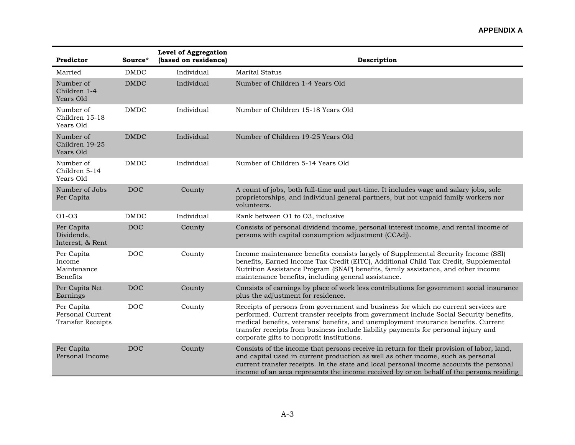#### **APPENDIX A**

| Predictor                                                  | Source*     | Level of Aggregation<br>(based on residence) | Description                                                                                                                                                                                                                                                                                                                                                                                            |
|------------------------------------------------------------|-------------|----------------------------------------------|--------------------------------------------------------------------------------------------------------------------------------------------------------------------------------------------------------------------------------------------------------------------------------------------------------------------------------------------------------------------------------------------------------|
| Married                                                    | <b>DMDC</b> | Individual                                   | <b>Marital Status</b>                                                                                                                                                                                                                                                                                                                                                                                  |
| Number of<br>Children 1-4<br>Years Old                     | <b>DMDC</b> | Individual                                   | Number of Children 1-4 Years Old                                                                                                                                                                                                                                                                                                                                                                       |
| Number of<br>Children 15-18<br>Years Old                   | <b>DMDC</b> | Individual                                   | Number of Children 15-18 Years Old                                                                                                                                                                                                                                                                                                                                                                     |
| Number of<br>Children 19-25<br>Years Old                   | <b>DMDC</b> | Individual                                   | Number of Children 19-25 Years Old                                                                                                                                                                                                                                                                                                                                                                     |
| Number of<br>Children 5-14<br>Years Old                    | <b>DMDC</b> | Individual                                   | Number of Children 5-14 Years Old                                                                                                                                                                                                                                                                                                                                                                      |
| Number of Jobs<br>Per Capita                               | <b>DOC</b>  | County                                       | A count of jobs, both full-time and part-time. It includes wage and salary jobs, sole<br>proprietorships, and individual general partners, but not unpaid family workers nor<br>volunteers.                                                                                                                                                                                                            |
| $O1-O3$                                                    | <b>DMDC</b> | Individual                                   | Rank between O1 to O3, inclusive                                                                                                                                                                                                                                                                                                                                                                       |
| Per Capita<br>Dividends,<br>Interest, & Rent               | <b>DOC</b>  | County                                       | Consists of personal dividend income, personal interest income, and rental income of<br>persons with capital consumption adjustment (CCAdj).                                                                                                                                                                                                                                                           |
| Per Capita<br>Income<br>Maintenance<br><b>Benefits</b>     | <b>DOC</b>  | County                                       | Income maintenance benefits consists largely of Supplemental Security Income (SSI)<br>benefits, Earned Income Tax Credit (EITC), Additional Child Tax Credit, Supplemental<br>Nutrition Assistance Program (SNAP) benefits, family assistance, and other income<br>maintenance benefits, including general assistance.                                                                                 |
| Per Capita Net<br>Earnings                                 | <b>DOC</b>  | County                                       | Consists of earnings by place of work less contributions for government social insurance<br>plus the adjustment for residence.                                                                                                                                                                                                                                                                         |
| Per Capita<br>Personal Current<br><b>Transfer Receipts</b> | <b>DOC</b>  | County                                       | Receipts of persons from government and business for which no current services are<br>performed. Current transfer receipts from government include Social Security benefits,<br>medical benefits, veterans' benefits, and unemployment insurance benefits. Current<br>transfer receipts from business include liability payments for personal injury and<br>corporate gifts to nonprofit institutions. |
| Per Capita<br>Personal Income                              | <b>DOC</b>  | County                                       | Consists of the income that persons receive in return for their provision of labor, land,<br>and capital used in current production as well as other income, such as personal<br>current transfer receipts. In the state and local personal income accounts the personal<br>income of an area represents the income received by or on behalf of the persons residing                                   |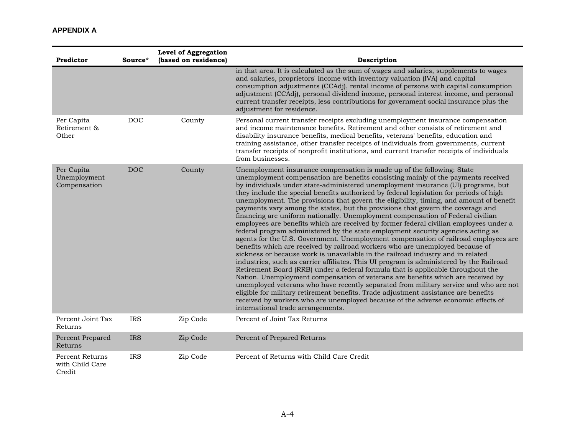#### **APPENDIX A**

| Predictor                                           | Source*    | <b>Level of Aggregation</b><br>(based on residence) | Description                                                                                                                                                                                                                                                                                                                                                                                                                                                                                                                                                                                                                                                                                                                                                                                                                                                                                                                                                                                                                                                                                                                                                                                                                                                                                                                                                                                                                                                                                                                                                                                                                        |
|-----------------------------------------------------|------------|-----------------------------------------------------|------------------------------------------------------------------------------------------------------------------------------------------------------------------------------------------------------------------------------------------------------------------------------------------------------------------------------------------------------------------------------------------------------------------------------------------------------------------------------------------------------------------------------------------------------------------------------------------------------------------------------------------------------------------------------------------------------------------------------------------------------------------------------------------------------------------------------------------------------------------------------------------------------------------------------------------------------------------------------------------------------------------------------------------------------------------------------------------------------------------------------------------------------------------------------------------------------------------------------------------------------------------------------------------------------------------------------------------------------------------------------------------------------------------------------------------------------------------------------------------------------------------------------------------------------------------------------------------------------------------------------------|
|                                                     |            |                                                     | in that area. It is calculated as the sum of wages and salaries, supplements to wages<br>and salaries, proprietors' income with inventory valuation (IVA) and capital<br>consumption adjustments (CCAdj), rental income of persons with capital consumption<br>adjustment (CCAdj), personal dividend income, personal interest income, and personal<br>current transfer receipts, less contributions for government social insurance plus the<br>adjustment for residence.                                                                                                                                                                                                                                                                                                                                                                                                                                                                                                                                                                                                                                                                                                                                                                                                                                                                                                                                                                                                                                                                                                                                                         |
| Per Capita<br>Retirement &<br>Other                 | <b>DOC</b> | County                                              | Personal current transfer receipts excluding unemployment insurance compensation<br>and income maintenance benefits. Retirement and other consists of retirement and<br>disability insurance benefits, medical benefits, veterans' benefits, education and<br>training assistance, other transfer receipts of individuals from governments, current<br>transfer receipts of nonprofit institutions, and current transfer receipts of individuals<br>from businesses.                                                                                                                                                                                                                                                                                                                                                                                                                                                                                                                                                                                                                                                                                                                                                                                                                                                                                                                                                                                                                                                                                                                                                               |
| Per Capita<br>Unemployment<br>Compensation          | <b>DOC</b> | County                                              | Unemployment insurance compensation is made up of the following: State<br>unemployment compensation are benefits consisting mainly of the payments received<br>by individuals under state-administered unemployment insurance (UI) programs, but<br>they include the special benefits authorized by federal legislation for periods of high<br>unemployment. The provisions that govern the eligibility, timing, and amount of benefit<br>payments vary among the states, but the provisions that govern the coverage and<br>financing are uniform nationally. Unemployment compensation of Federal civilian<br>employees are benefits which are received by former federal civilian employees under a<br>federal program administered by the state employment security agencies acting as<br>agents for the U.S. Government. Unemployment compensation of railroad employees are<br>benefits which are received by railroad workers who are unemployed because of<br>sickness or because work is unavailable in the railroad industry and in related<br>industries, such as carrier affiliates. This UI program is administered by the Railroad<br>Retirement Board (RRB) under a federal formula that is applicable throughout the<br>Nation. Unemployment compensation of veterans are benefits which are received by<br>unemployed veterans who have recently separated from military service and who are not<br>eligible for military retirement benefits. Trade adjustment assistance are benefits<br>received by workers who are unemployed because of the adverse economic effects of<br>international trade arrangements. |
| Percent Joint Tax<br>Returns                        | <b>IRS</b> | Zip Code                                            | Percent of Joint Tax Returns                                                                                                                                                                                                                                                                                                                                                                                                                                                                                                                                                                                                                                                                                                                                                                                                                                                                                                                                                                                                                                                                                                                                                                                                                                                                                                                                                                                                                                                                                                                                                                                                       |
| Percent Prepared<br>Returns                         | <b>IRS</b> | Zip Code                                            | Percent of Prepared Returns                                                                                                                                                                                                                                                                                                                                                                                                                                                                                                                                                                                                                                                                                                                                                                                                                                                                                                                                                                                                                                                                                                                                                                                                                                                                                                                                                                                                                                                                                                                                                                                                        |
| <b>Percent Returns</b><br>with Child Care<br>Credit | <b>IRS</b> | Zip Code                                            | Percent of Returns with Child Care Credit                                                                                                                                                                                                                                                                                                                                                                                                                                                                                                                                                                                                                                                                                                                                                                                                                                                                                                                                                                                                                                                                                                                                                                                                                                                                                                                                                                                                                                                                                                                                                                                          |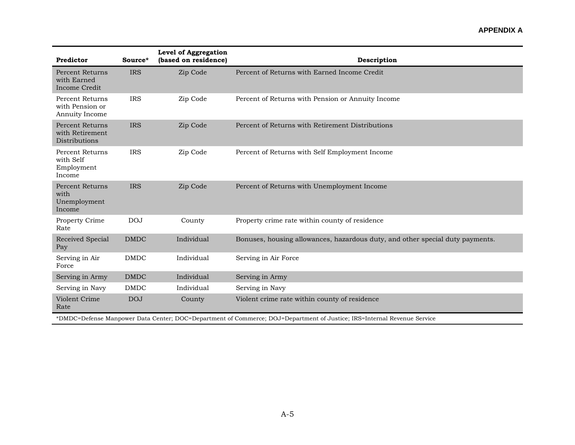#### **APPENDIX A**

| Predictor                                                                                                               | Source*     | Level of Aggregation<br>(based on residence) | Description                                                                   |  |
|-------------------------------------------------------------------------------------------------------------------------|-------------|----------------------------------------------|-------------------------------------------------------------------------------|--|
| <b>Percent Returns</b><br>with Earned<br>Income Credit                                                                  | <b>IRS</b>  | Zip Code                                     | Percent of Returns with Earned Income Credit                                  |  |
| <b>Percent Returns</b><br>with Pension or<br>Annuity Income                                                             | <b>IRS</b>  | Zip Code                                     | Percent of Returns with Pension or Annuity Income                             |  |
| Percent Returns<br>with Retirement<br>Distributions                                                                     | <b>IRS</b>  | Zip Code                                     | Percent of Returns with Retirement Distributions                              |  |
| <b>Percent Returns</b><br>with Self<br>Employment<br>Income                                                             | <b>IRS</b>  | Zip Code                                     | Percent of Returns with Self Employment Income                                |  |
| <b>Percent Returns</b><br>with<br>Unemployment<br>Income                                                                | <b>IRS</b>  | Zip Code                                     | Percent of Returns with Unemployment Income                                   |  |
| Property Crime<br>Rate                                                                                                  | <b>DOJ</b>  | County                                       | Property crime rate within county of residence                                |  |
| Received Special<br>Pay                                                                                                 | <b>DMDC</b> | Individual                                   | Bonuses, housing allowances, hazardous duty, and other special duty payments. |  |
| Serving in Air<br>Force                                                                                                 | <b>DMDC</b> | Individual                                   | Serving in Air Force                                                          |  |
| Serving in Army                                                                                                         | <b>DMDC</b> | Individual                                   | Serving in Army                                                               |  |
| Serving in Navy                                                                                                         | <b>DMDC</b> | Individual                                   | Serving in Navy                                                               |  |
| Violent Crime<br>Rate                                                                                                   | <b>DOJ</b>  | County                                       | Violent crime rate within county of residence                                 |  |
| *DMDC=Defense Manpower Data Center; DOC=Department of Commerce; DOJ=Department of Justice; IRS=Internal Revenue Service |             |                                              |                                                                               |  |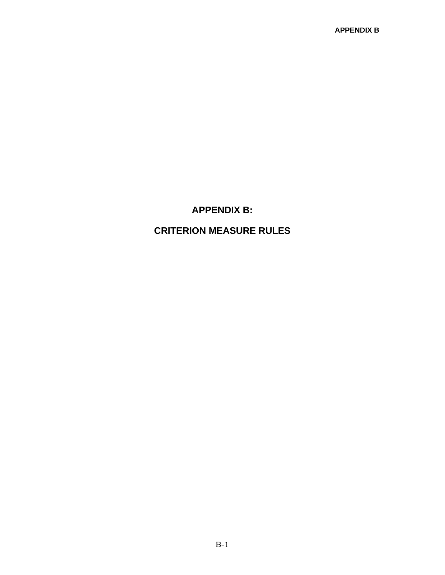### **APPENDIX B:**

# <span id="page-34-0"></span>**CRITERION MEASURE RULES**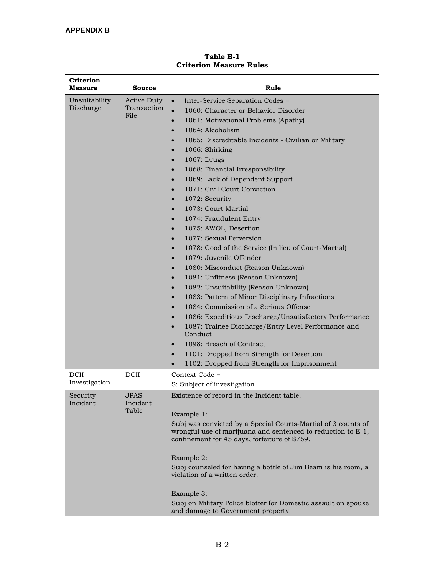<span id="page-35-0"></span>

| Criterion<br>Measure       | Source                                    | Rule                                                                                                                                                                                                                                                                                                                                                                                                                                                                                                                                                                                                                                                                                                                                                                                                                                                                                                                                                                                                                                                                                                                                                                                                                                                                                                                                     |  |
|----------------------------|-------------------------------------------|------------------------------------------------------------------------------------------------------------------------------------------------------------------------------------------------------------------------------------------------------------------------------------------------------------------------------------------------------------------------------------------------------------------------------------------------------------------------------------------------------------------------------------------------------------------------------------------------------------------------------------------------------------------------------------------------------------------------------------------------------------------------------------------------------------------------------------------------------------------------------------------------------------------------------------------------------------------------------------------------------------------------------------------------------------------------------------------------------------------------------------------------------------------------------------------------------------------------------------------------------------------------------------------------------------------------------------------|--|
| Unsuitability<br>Discharge | <b>Active Duty</b><br>Transaction<br>File | Inter-Service Separation Codes =<br>$\bullet$<br>$\bullet$<br>1060: Character or Behavior Disorder<br>1061: Motivational Problems (Apathy)<br>$\bullet$<br>1064: Alcoholism<br>$\bullet$<br>1065: Discreditable Incidents - Civilian or Military<br>1066: Shirking<br>$\bullet$<br>1067: Drugs<br>$\bullet$<br>1068: Financial Irresponsibility<br>$\bullet$<br>1069: Lack of Dependent Support<br>$\bullet$<br>1071: Civil Court Conviction<br>$\bullet$<br>1072: Security<br>$\bullet$<br>1073: Court Martial<br>$\bullet$<br>1074: Fraudulent Entry<br>$\bullet$<br>1075: AWOL, Desertion<br>$\bullet$<br>1077: Sexual Perversion<br>$\bullet$<br>1078: Good of the Service (In lieu of Court-Martial)<br>$\bullet$<br>1079: Juvenile Offender<br>$\bullet$<br>1080: Misconduct (Reason Unknown)<br>$\bullet$<br>1081: Unfitness (Reason Unknown)<br>$\bullet$<br>1082: Unsuitability (Reason Unknown)<br>$\bullet$<br>1083: Pattern of Minor Disciplinary Infractions<br>$\bullet$<br>1084: Commission of a Serious Offense<br>$\bullet$<br>1086: Expeditious Discharge/Unsatisfactory Performance<br>1087: Trainee Discharge/Entry Level Performance and<br>$\bullet$<br>Conduct<br>1098: Breach of Contract<br>$\bullet$<br>1101: Dropped from Strength for Desertion<br>$\bullet$<br>1102: Dropped from Strength for Imprisonment |  |
| DCII<br>Investigation      | DCII                                      | Context Code =<br>S: Subject of investigation                                                                                                                                                                                                                                                                                                                                                                                                                                                                                                                                                                                                                                                                                                                                                                                                                                                                                                                                                                                                                                                                                                                                                                                                                                                                                            |  |
| Security<br>Incident       | <b>JPAS</b><br>Incident<br>Table          | Existence of record in the Incident table.<br>Example 1:<br>Subj was convicted by a Special Courts-Martial of 3 counts of<br>wrongful use of marijuana and sentenced to reduction to E-1,<br>confinement for 45 days, forfeiture of \$759.<br>Example 2:<br>Subj counseled for having a bottle of Jim Beam is his room, a<br>violation of a written order.<br>Example 3:<br>Subj on Military Police blotter for Domestic assault on spouse<br>and damage to Government property.                                                                                                                                                                                                                                                                                                                                                                                                                                                                                                                                                                                                                                                                                                                                                                                                                                                         |  |

#### **Table B-1 Criterion Measure Rules**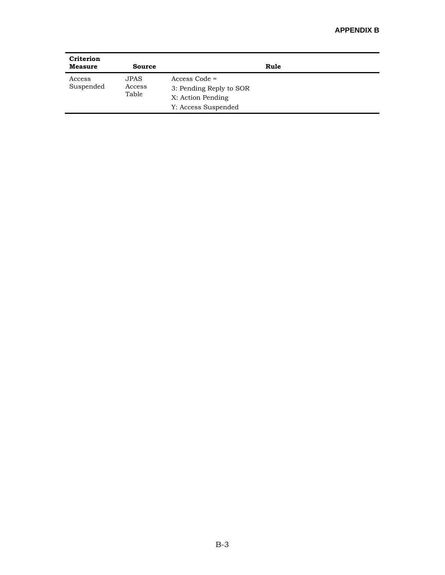| Criterion<br><b>Measure</b> | Source                         |                                                                                        | Rule |
|-----------------------------|--------------------------------|----------------------------------------------------------------------------------------|------|
| Access<br>Suspended         | <b>JPAS</b><br>Access<br>Table | $Access Code =$<br>3: Pending Reply to SOR<br>X: Action Pending<br>Y: Access Suspended |      |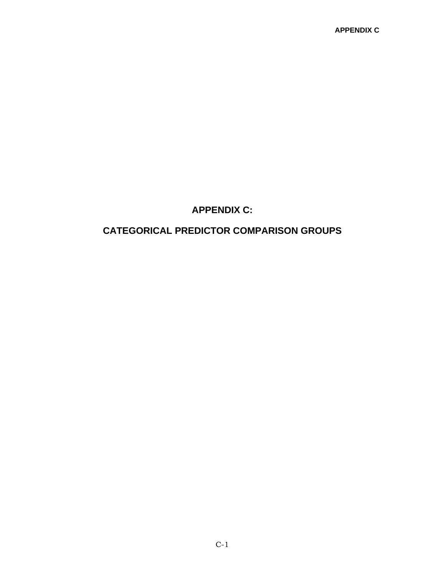## **APPENDIX C:**

# <span id="page-37-0"></span>**CATEGORICAL PREDICTOR COMPARISON GROUPS**